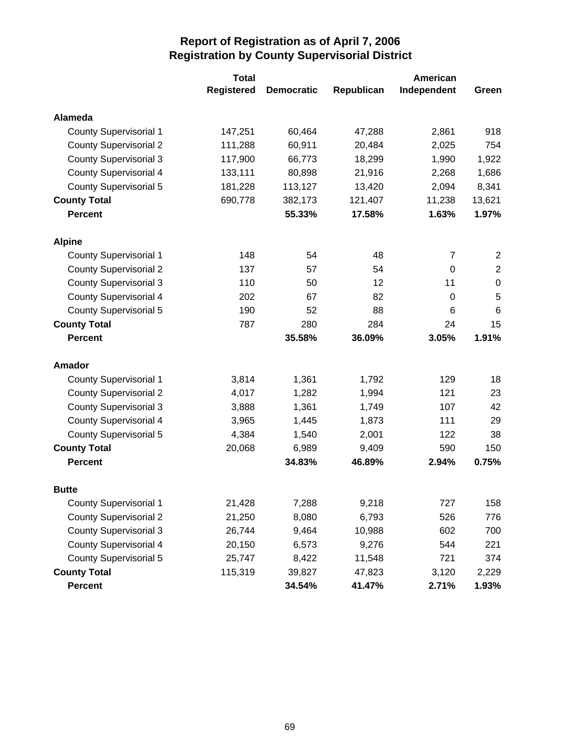|                               | <b>Total</b>      |                   | American   |             |                  |
|-------------------------------|-------------------|-------------------|------------|-------------|------------------|
|                               | <b>Registered</b> | <b>Democratic</b> | Republican | Independent | Green            |
| <b>Alameda</b>                |                   |                   |            |             |                  |
| <b>County Supervisorial 1</b> | 147,251           | 60,464            | 47,288     | 2,861       | 918              |
| <b>County Supervisorial 2</b> | 111,288           | 60,911            | 20,484     | 2,025       | 754              |
| <b>County Supervisorial 3</b> | 117,900           | 66,773            | 18,299     | 1,990       | 1,922            |
| <b>County Supervisorial 4</b> | 133,111           | 80,898            | 21,916     | 2,268       | 1,686            |
| <b>County Supervisorial 5</b> | 181,228           | 113,127           | 13,420     | 2,094       | 8,341            |
| <b>County Total</b>           | 690,778           | 382,173           | 121,407    | 11,238      | 13,621           |
| <b>Percent</b>                |                   | 55.33%            | 17.58%     | 1.63%       | 1.97%            |
| <b>Alpine</b>                 |                   |                   |            |             |                  |
| <b>County Supervisorial 1</b> | 148               | 54                | 48         | 7           | 2                |
| <b>County Supervisorial 2</b> | 137               | 57                | 54         | 0           | $\mathbf 2$      |
| <b>County Supervisorial 3</b> | 110               | 50                | 12         | 11          | $\boldsymbol{0}$ |
| <b>County Supervisorial 4</b> | 202               | 67                | 82         | $\mathbf 0$ | 5                |
| County Supervisorial 5        | 190               | 52                | 88         | 6           | $6\phantom{1}6$  |
| <b>County Total</b>           | 787               | 280               | 284        | 24          | 15               |
| <b>Percent</b>                |                   | 35.58%            | 36.09%     | 3.05%       | 1.91%            |
| Amador                        |                   |                   |            |             |                  |
| <b>County Supervisorial 1</b> | 3,814             | 1,361             | 1,792      | 129         | 18               |
| <b>County Supervisorial 2</b> | 4,017             | 1,282             | 1,994      | 121         | 23               |
| <b>County Supervisorial 3</b> | 3,888             | 1,361             | 1,749      | 107         | 42               |
| <b>County Supervisorial 4</b> | 3,965             | 1,445             | 1,873      | 111         | 29               |
| <b>County Supervisorial 5</b> | 4,384             | 1,540             | 2,001      | 122         | 38               |
| <b>County Total</b>           | 20,068            | 6,989             | 9,409      | 590         | 150              |
| <b>Percent</b>                |                   | 34.83%            | 46.89%     | 2.94%       | 0.75%            |
| <b>Butte</b>                  |                   |                   |            |             |                  |
| <b>County Supervisorial 1</b> | 21,428            | 7,288             | 9,218      | 727         | 158              |
| <b>County Supervisorial 2</b> | 21,250            | 8,080             | 6,793      | 526         | 776              |
| <b>County Supervisorial 3</b> | 26,744            | 9,464             | 10,988     | 602         | 700              |
| <b>County Supervisorial 4</b> | 20,150            | 6,573             | 9,276      | 544         | 221              |
| <b>County Supervisorial 5</b> | 25,747            | 8,422             | 11,548     | 721         | 374              |
| <b>County Total</b>           | 115,319           | 39,827            | 47,823     | 3,120       | 2,229            |
| Percent                       |                   | 34.54%            | 41.47%     | 2.71%       | 1.93%            |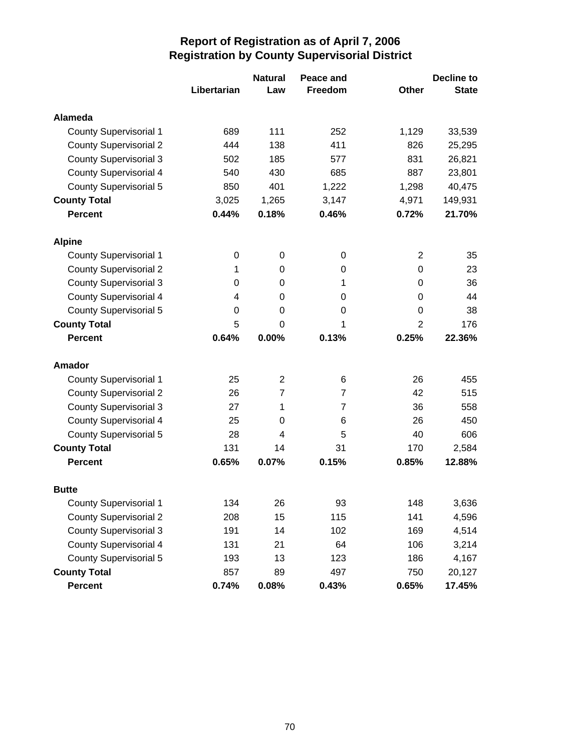|                               |             | <b>Natural</b> | Peace and      |                | <b>Decline to</b> |
|-------------------------------|-------------|----------------|----------------|----------------|-------------------|
|                               | Libertarian | Law            | Freedom        | <b>Other</b>   | <b>State</b>      |
| Alameda                       |             |                |                |                |                   |
| <b>County Supervisorial 1</b> | 689         | 111            | 252            | 1,129          | 33,539            |
| <b>County Supervisorial 2</b> | 444         | 138            | 411            | 826            | 25,295            |
| <b>County Supervisorial 3</b> | 502         | 185            | 577            | 831            | 26,821            |
| <b>County Supervisorial 4</b> | 540         | 430            | 685            | 887            | 23,801            |
| <b>County Supervisorial 5</b> | 850         | 401            | 1,222          | 1,298          | 40,475            |
| <b>County Total</b>           | 3,025       | 1,265          | 3,147          | 4,971          | 149,931           |
| <b>Percent</b>                | 0.44%       | 0.18%          | 0.46%          | 0.72%          | 21.70%            |
| <b>Alpine</b>                 |             |                |                |                |                   |
| <b>County Supervisorial 1</b> | 0           | 0              | 0              | 2              | 35                |
| <b>County Supervisorial 2</b> | 1           | 0              | 0              | 0              | 23                |
| <b>County Supervisorial 3</b> | 0           | 0              | 1              | 0              | 36                |
| <b>County Supervisorial 4</b> | 4           | 0              | 0              | 0              | 44                |
| <b>County Supervisorial 5</b> | 0           | 0              | 0              | 0              | 38                |
| <b>County Total</b>           | 5           | 0              | 1              | $\overline{2}$ | 176               |
| <b>Percent</b>                | 0.64%       | 0.00%          | 0.13%          | 0.25%          | 22.36%            |
| <b>Amador</b>                 |             |                |                |                |                   |
| <b>County Supervisorial 1</b> | 25          | $\overline{2}$ | 6              | 26             | 455               |
| <b>County Supervisorial 2</b> | 26          | $\overline{7}$ | 7              | 42             | 515               |
| <b>County Supervisorial 3</b> | 27          | 1              | $\overline{7}$ | 36             | 558               |
| <b>County Supervisorial 4</b> | 25          | 0              | 6              | 26             | 450               |
| <b>County Supervisorial 5</b> | 28          | 4              | 5              | 40             | 606               |
| <b>County Total</b>           | 131         | 14             | 31             | 170            | 2,584             |
| <b>Percent</b>                | 0.65%       | 0.07%          | 0.15%          | 0.85%          | 12.88%            |
| <b>Butte</b>                  |             |                |                |                |                   |
| <b>County Supervisorial 1</b> | 134         | 26             | 93             | 148            | 3,636             |
| <b>County Supervisorial 2</b> | 208         | 15             | 115            | 141            | 4,596             |
| <b>County Supervisorial 3</b> | 191         | 14             | 102            | 169            | 4,514             |
| <b>County Supervisorial 4</b> | 131         | 21             | 64             | 106            | 3,214             |
| <b>County Supervisorial 5</b> | 193         | 13             | 123            | 186            | 4,167             |
| <b>County Total</b>           | 857         | 89             | 497            | 750            | 20,127            |
| <b>Percent</b>                | 0.74%       | 0.08%          | 0.43%          | 0.65%          | 17.45%            |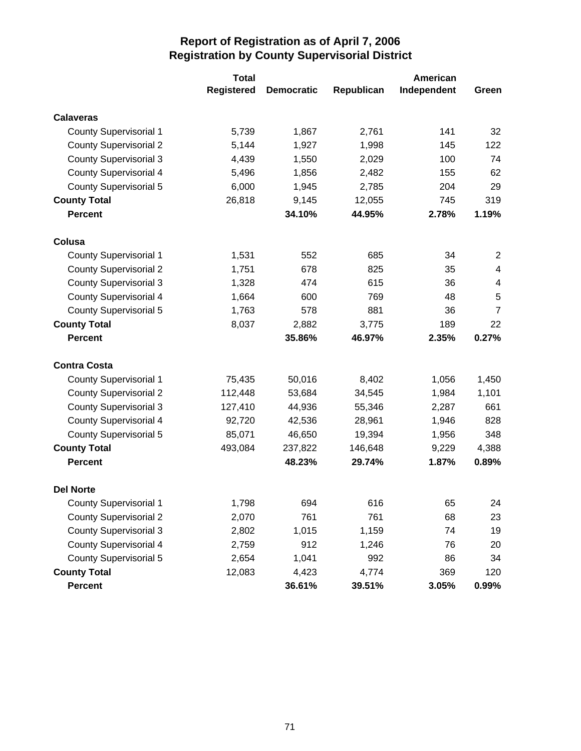|                               | <b>Total</b>      |                   | American   |             |                |
|-------------------------------|-------------------|-------------------|------------|-------------|----------------|
|                               | <b>Registered</b> | <b>Democratic</b> | Republican | Independent | Green          |
| <b>Calaveras</b>              |                   |                   |            |             |                |
| <b>County Supervisorial 1</b> | 5,739             | 1,867             | 2,761      | 141         | 32             |
| <b>County Supervisorial 2</b> | 5,144             | 1,927             | 1,998      | 145         | 122            |
| <b>County Supervisorial 3</b> | 4,439             | 1,550             | 2,029      | 100         | 74             |
| <b>County Supervisorial 4</b> | 5,496             | 1,856             | 2,482      | 155         | 62             |
| <b>County Supervisorial 5</b> | 6,000             | 1,945             | 2,785      | 204         | 29             |
| <b>County Total</b>           | 26,818            | 9,145             | 12,055     | 745         | 319            |
| <b>Percent</b>                |                   | 34.10%            | 44.95%     | 2.78%       | 1.19%          |
| Colusa                        |                   |                   |            |             |                |
| <b>County Supervisorial 1</b> | 1,531             | 552               | 685        | 34          | 2              |
| <b>County Supervisorial 2</b> | 1,751             | 678               | 825        | 35          | 4              |
| <b>County Supervisorial 3</b> | 1,328             | 474               | 615        | 36          | 4              |
| <b>County Supervisorial 4</b> | 1,664             | 600               | 769        | 48          | 5              |
| <b>County Supervisorial 5</b> | 1,763             | 578               | 881        | 36          | $\overline{7}$ |
| <b>County Total</b>           | 8,037             | 2,882             | 3,775      | 189         | 22             |
| <b>Percent</b>                |                   | 35.86%            | 46.97%     | 2.35%       | 0.27%          |
| <b>Contra Costa</b>           |                   |                   |            |             |                |
| <b>County Supervisorial 1</b> | 75,435            | 50,016            | 8,402      | 1,056       | 1,450          |
| <b>County Supervisorial 2</b> | 112,448           | 53,684            | 34,545     | 1,984       | 1,101          |
| <b>County Supervisorial 3</b> | 127,410           | 44,936            | 55,346     | 2,287       | 661            |
| <b>County Supervisorial 4</b> | 92,720            | 42,536            | 28,961     | 1,946       | 828            |
| <b>County Supervisorial 5</b> | 85,071            | 46,650            | 19,394     | 1,956       | 348            |
| <b>County Total</b>           | 493,084           | 237,822           | 146,648    | 9,229       | 4,388          |
| <b>Percent</b>                |                   | 48.23%            | 29.74%     | 1.87%       | 0.89%          |
| <b>Del Norte</b>              |                   |                   |            |             |                |
| <b>County Supervisorial 1</b> | 1,798             | 694               | 616        | 65          | 24             |
| <b>County Supervisorial 2</b> | 2,070             | 761               | 761        | 68          | 23             |
| <b>County Supervisorial 3</b> | 2,802             | 1,015             | 1,159      | 74          | 19             |
| <b>County Supervisorial 4</b> | 2,759             | 912               | 1,246      | 76          | 20             |
| <b>County Supervisorial 5</b> | 2,654             | 1,041             | 992        | 86          | 34             |
| <b>County Total</b>           | 12,083            | 4,423             | 4,774      | 369         | 120            |
| Percent                       |                   | 36.61%            | 39.51%     | 3.05%       | $0.99\%$       |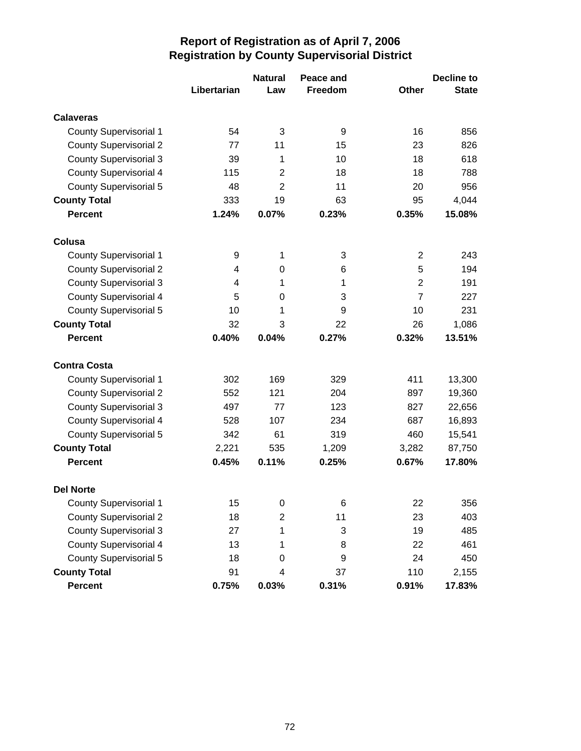|                               |             | <b>Natural</b> | Peace and |                | <b>Decline to</b> |
|-------------------------------|-------------|----------------|-----------|----------------|-------------------|
|                               | Libertarian | Law            | Freedom   | <b>Other</b>   | <b>State</b>      |
| <b>Calaveras</b>              |             |                |           |                |                   |
| <b>County Supervisorial 1</b> | 54          | 3              | 9         | 16             | 856               |
| <b>County Supervisorial 2</b> | 77          | 11             | 15        | 23             | 826               |
| <b>County Supervisorial 3</b> | 39          | 1              | 10        | 18             | 618               |
| <b>County Supervisorial 4</b> | 115         | $\overline{2}$ | 18        | 18             | 788               |
| <b>County Supervisorial 5</b> | 48          | $\overline{2}$ | 11        | 20             | 956               |
| <b>County Total</b>           | 333         | 19             | 63        | 95             | 4,044             |
| <b>Percent</b>                | 1.24%       | 0.07%          | 0.23%     | 0.35%          | 15.08%            |
| Colusa                        |             |                |           |                |                   |
| <b>County Supervisorial 1</b> | 9           | 1              | 3         | $\overline{2}$ | 243               |
| <b>County Supervisorial 2</b> | 4           | 0              | 6         | 5              | 194               |
| <b>County Supervisorial 3</b> | 4           | 1              | 1         | $\overline{2}$ | 191               |
| <b>County Supervisorial 4</b> | 5           | 0              | 3         | $\overline{7}$ | 227               |
| <b>County Supervisorial 5</b> | 10          | 1              | 9         | 10             | 231               |
| <b>County Total</b>           | 32          | 3              | 22        | 26             | 1,086             |
| <b>Percent</b>                | 0.40%       | 0.04%          | 0.27%     | 0.32%          | 13.51%            |
| <b>Contra Costa</b>           |             |                |           |                |                   |
| <b>County Supervisorial 1</b> | 302         | 169            | 329       | 411            | 13,300            |
| <b>County Supervisorial 2</b> | 552         | 121            | 204       | 897            | 19,360            |
| <b>County Supervisorial 3</b> | 497         | 77             | 123       | 827            | 22,656            |
| County Supervisorial 4        | 528         | 107            | 234       | 687            | 16,893            |
| <b>County Supervisorial 5</b> | 342         | 61             | 319       | 460            | 15,541            |
| <b>County Total</b>           | 2,221       | 535            | 1,209     | 3,282          | 87,750            |
| <b>Percent</b>                | 0.45%       | 0.11%          | 0.25%     | 0.67%          | 17.80%            |
| <b>Del Norte</b>              |             |                |           |                |                   |
| <b>County Supervisorial 1</b> | 15          | $\pmb{0}$      | 6         | 22             | 356               |
| <b>County Supervisorial 2</b> | 18          | $\overline{c}$ | 11        | 23             | 403               |
| <b>County Supervisorial 3</b> | 27          | 1              | 3         | 19             | 485               |
| <b>County Supervisorial 4</b> | 13          | 1              | 8         | 22             | 461               |
| <b>County Supervisorial 5</b> | 18          | 0              | 9         | 24             | 450               |
| <b>County Total</b>           | 91          | 4              | 37        | 110            | 2,155             |
| Percent                       | 0.75%       | 0.03%          | 0.31%     | 0.91%          | 17.83%            |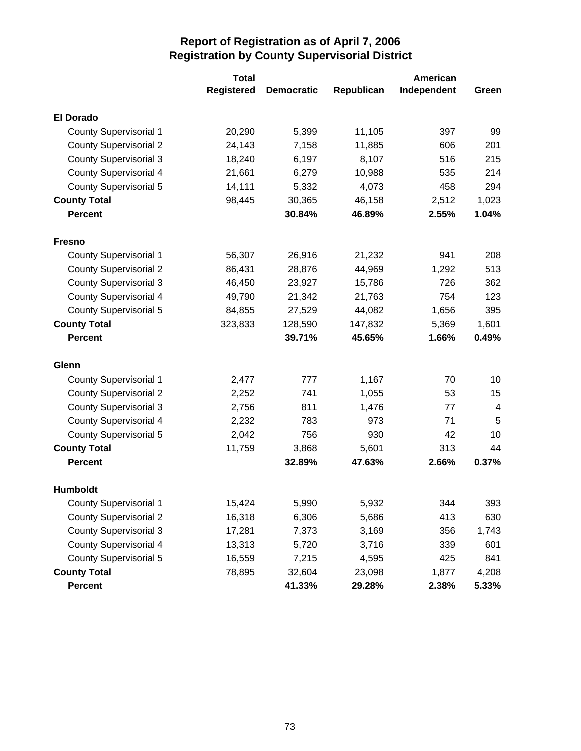|                               | <b>Total</b>      |                   |            | American    |       |
|-------------------------------|-------------------|-------------------|------------|-------------|-------|
|                               | <b>Registered</b> | <b>Democratic</b> | Republican | Independent | Green |
| <b>El Dorado</b>              |                   |                   |            |             |       |
| <b>County Supervisorial 1</b> | 20,290            | 5,399             | 11,105     | 397         | 99    |
| <b>County Supervisorial 2</b> | 24,143            | 7,158             | 11,885     | 606         | 201   |
| <b>County Supervisorial 3</b> | 18,240            | 6,197             | 8,107      | 516         | 215   |
| <b>County Supervisorial 4</b> | 21,661            | 6,279             | 10,988     | 535         | 214   |
| <b>County Supervisorial 5</b> | 14,111            | 5,332             | 4,073      | 458         | 294   |
| <b>County Total</b>           | 98,445            | 30,365            | 46,158     | 2,512       | 1,023 |
| <b>Percent</b>                |                   | 30.84%            | 46.89%     | 2.55%       | 1.04% |
| <b>Fresno</b>                 |                   |                   |            |             |       |
| <b>County Supervisorial 1</b> | 56,307            | 26,916            | 21,232     | 941         | 208   |
| <b>County Supervisorial 2</b> | 86,431            | 28,876            | 44,969     | 1,292       | 513   |
| <b>County Supervisorial 3</b> | 46,450            | 23,927            | 15,786     | 726         | 362   |
| <b>County Supervisorial 4</b> | 49,790            | 21,342            | 21,763     | 754         | 123   |
| <b>County Supervisorial 5</b> | 84,855            | 27,529            | 44,082     | 1,656       | 395   |
| <b>County Total</b>           | 323,833           | 128,590           | 147,832    | 5,369       | 1,601 |
| <b>Percent</b>                |                   | 39.71%            | 45.65%     | 1.66%       | 0.49% |
| Glenn                         |                   |                   |            |             |       |
| <b>County Supervisorial 1</b> | 2,477             | 777               | 1,167      | 70          | 10    |
| <b>County Supervisorial 2</b> | 2,252             | 741               | 1,055      | 53          | 15    |
| <b>County Supervisorial 3</b> | 2,756             | 811               | 1,476      | 77          | 4     |
| <b>County Supervisorial 4</b> | 2,232             | 783               | 973        | 71          | 5     |
| <b>County Supervisorial 5</b> | 2,042             | 756               | 930        | 42          | 10    |
| <b>County Total</b>           | 11,759            | 3,868             | 5,601      | 313         | 44    |
| <b>Percent</b>                |                   | 32.89%            | 47.63%     | 2.66%       | 0.37% |
| <b>Humboldt</b>               |                   |                   |            |             |       |
| <b>County Supervisorial 1</b> | 15,424            | 5,990             | 5,932      | 344         | 393   |
| <b>County Supervisorial 2</b> | 16,318            | 6,306             | 5,686      | 413         | 630   |
| <b>County Supervisorial 3</b> | 17,281            | 7,373             | 3,169      | 356         | 1,743 |
| <b>County Supervisorial 4</b> | 13,313            | 5,720             | 3,716      | 339         | 601   |
| <b>County Supervisorial 5</b> | 16,559            | 7,215             | 4,595      | 425         | 841   |
| <b>County Total</b>           | 78,895            | 32,604            | 23,098     | 1,877       | 4,208 |
| Percent                       |                   | 41.33%            | 29.28%     | 2.38%       | 5.33% |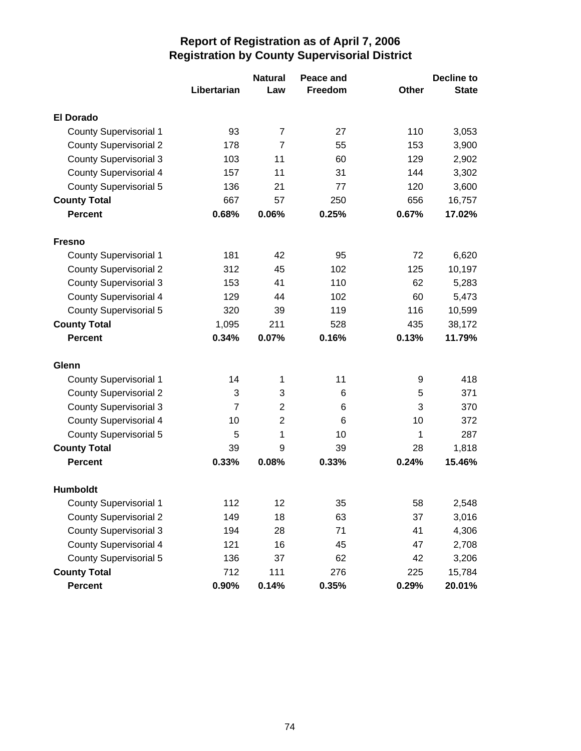|                               |                | <b>Natural</b> | Peace and |       | Decline to   |
|-------------------------------|----------------|----------------|-----------|-------|--------------|
|                               | Libertarian    | Law            | Freedom   | Other | <b>State</b> |
| <b>El Dorado</b>              |                |                |           |       |              |
| <b>County Supervisorial 1</b> | 93             | 7              | 27        | 110   | 3,053        |
| <b>County Supervisorial 2</b> | 178            | $\overline{7}$ | 55        | 153   | 3,900        |
| <b>County Supervisorial 3</b> | 103            | 11             | 60        | 129   | 2,902        |
| <b>County Supervisorial 4</b> | 157            | 11             | 31        | 144   | 3,302        |
| <b>County Supervisorial 5</b> | 136            | 21             | 77        | 120   | 3,600        |
| <b>County Total</b>           | 667            | 57             | 250       | 656   | 16,757       |
| <b>Percent</b>                | 0.68%          | 0.06%          | 0.25%     | 0.67% | 17.02%       |
| <b>Fresno</b>                 |                |                |           |       |              |
| <b>County Supervisorial 1</b> | 181            | 42             | 95        | 72    | 6,620        |
| <b>County Supervisorial 2</b> | 312            | 45             | 102       | 125   | 10,197       |
| <b>County Supervisorial 3</b> | 153            | 41             | 110       | 62    | 5,283        |
| <b>County Supervisorial 4</b> | 129            | 44             | 102       | 60    | 5,473        |
| <b>County Supervisorial 5</b> | 320            | 39             | 119       | 116   | 10,599       |
| <b>County Total</b>           | 1,095          | 211            | 528       | 435   | 38,172       |
| <b>Percent</b>                | 0.34%          | 0.07%          | 0.16%     | 0.13% | 11.79%       |
| Glenn                         |                |                |           |       |              |
| <b>County Supervisorial 1</b> | 14             | 1              | 11        | 9     | 418          |
| <b>County Supervisorial 2</b> | 3              | 3              | 6         | 5     | 371          |
| <b>County Supervisorial 3</b> | $\overline{7}$ | $\overline{2}$ | 6         | 3     | 370          |
| County Supervisorial 4        | 10             | $\overline{2}$ | 6         | 10    | 372          |
| <b>County Supervisorial 5</b> | 5              | 1              | 10        | 1     | 287          |
| <b>County Total</b>           | 39             | 9              | 39        | 28    | 1,818        |
| <b>Percent</b>                | 0.33%          | 0.08%          | 0.33%     | 0.24% | 15.46%       |
| <b>Humboldt</b>               |                |                |           |       |              |
| <b>County Supervisorial 1</b> | 112            | 12             | 35        | 58    | 2,548        |
| <b>County Supervisorial 2</b> | 149            | 18             | 63        | 37    | 3,016        |
| <b>County Supervisorial 3</b> | 194            | 28             | 71        | 41    | 4,306        |
| <b>County Supervisorial 4</b> | 121            | 16             | 45        | 47    | 2,708        |
| <b>County Supervisorial 5</b> | 136            | 37             | 62        | 42    | 3,206        |
| <b>County Total</b>           | 712            | 111            | 276       | 225   | 15,784       |
| Percent                       | 0.90%          | 0.14%          | 0.35%     | 0.29% | 20.01%       |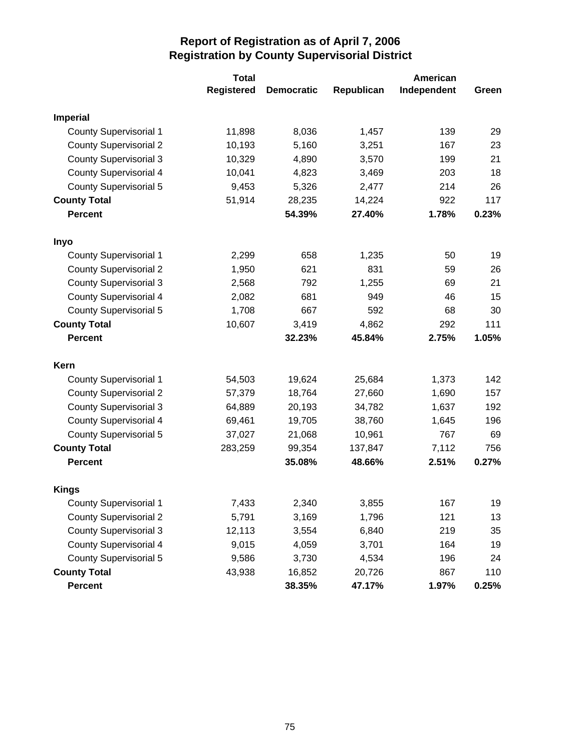|                               | <b>Total</b>      |                   | American   |             |       |  |
|-------------------------------|-------------------|-------------------|------------|-------------|-------|--|
|                               | <b>Registered</b> | <b>Democratic</b> | Republican | Independent | Green |  |
| <b>Imperial</b>               |                   |                   |            |             |       |  |
| <b>County Supervisorial 1</b> | 11,898            | 8,036             | 1,457      | 139         | 29    |  |
| <b>County Supervisorial 2</b> | 10,193            | 5,160             | 3,251      | 167         | 23    |  |
| <b>County Supervisorial 3</b> | 10,329            | 4,890             | 3,570      | 199         | 21    |  |
| <b>County Supervisorial 4</b> | 10,041            | 4,823             | 3,469      | 203         | 18    |  |
| County Supervisorial 5        | 9,453             | 5,326             | 2,477      | 214         | 26    |  |
| <b>County Total</b>           | 51,914            | 28,235            | 14,224     | 922         | 117   |  |
| <b>Percent</b>                |                   | 54.39%            | 27.40%     | 1.78%       | 0.23% |  |
| Inyo                          |                   |                   |            |             |       |  |
| <b>County Supervisorial 1</b> | 2,299             | 658               | 1,235      | 50          | 19    |  |
| <b>County Supervisorial 2</b> | 1,950             | 621               | 831        | 59          | 26    |  |
| <b>County Supervisorial 3</b> | 2,568             | 792               | 1,255      | 69          | 21    |  |
| <b>County Supervisorial 4</b> | 2,082             | 681               | 949        | 46          | 15    |  |
| <b>County Supervisorial 5</b> | 1,708             | 667               | 592        | 68          | 30    |  |
| <b>County Total</b>           | 10,607            | 3,419             | 4,862      | 292         | 111   |  |
| <b>Percent</b>                |                   | 32.23%            | 45.84%     | 2.75%       | 1.05% |  |
| Kern                          |                   |                   |            |             |       |  |
| <b>County Supervisorial 1</b> | 54,503            | 19,624            | 25,684     | 1,373       | 142   |  |
| <b>County Supervisorial 2</b> | 57,379            | 18,764            | 27,660     | 1,690       | 157   |  |
| <b>County Supervisorial 3</b> | 64,889            | 20,193            | 34,782     | 1,637       | 192   |  |
| <b>County Supervisorial 4</b> | 69,461            | 19,705            | 38,760     | 1,645       | 196   |  |
| <b>County Supervisorial 5</b> | 37,027            | 21,068            | 10,961     | 767         | 69    |  |
| <b>County Total</b>           | 283,259           | 99,354            | 137,847    | 7,112       | 756   |  |
| <b>Percent</b>                |                   | 35.08%            | 48.66%     | 2.51%       | 0.27% |  |
| <b>Kings</b>                  |                   |                   |            |             |       |  |
| <b>County Supervisorial 1</b> | 7,433             | 2,340             | 3,855      | 167         | 19    |  |
| <b>County Supervisorial 2</b> | 5,791             | 3,169             | 1,796      | 121         | 13    |  |
| <b>County Supervisorial 3</b> | 12,113            | 3,554             | 6,840      | 219         | 35    |  |
| <b>County Supervisorial 4</b> | 9,015             | 4,059             | 3,701      | 164         | 19    |  |
| <b>County Supervisorial 5</b> | 9,586             | 3,730             | 4,534      | 196         | 24    |  |
| <b>County Total</b>           | 43,938            | 16,852            | 20,726     | 867         | 110   |  |
| Percent                       |                   | 38.35%            | 47.17%     | 1.97%       | 0.25% |  |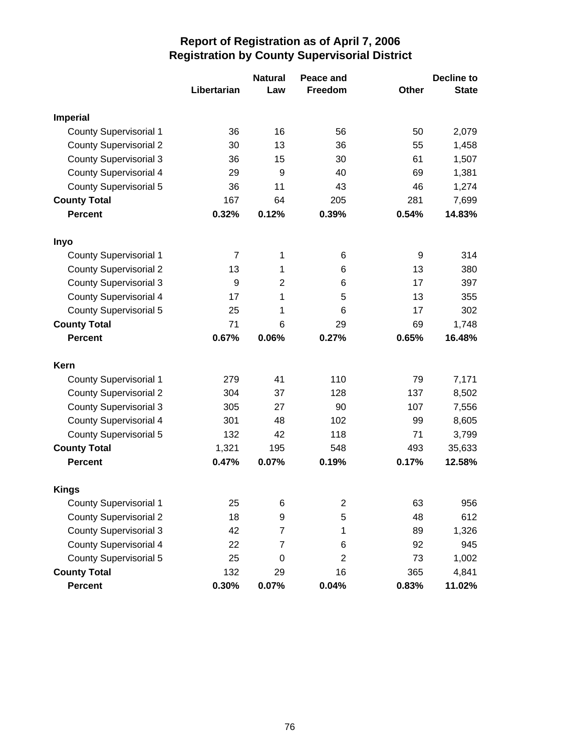|                               |                | <b>Natural</b> | Peace and               |              | <b>Decline to</b> |
|-------------------------------|----------------|----------------|-------------------------|--------------|-------------------|
|                               | Libertarian    | Law            | Freedom                 | <b>Other</b> | <b>State</b>      |
| <b>Imperial</b>               |                |                |                         |              |                   |
| <b>County Supervisorial 1</b> | 36             | 16             | 56                      | 50           | 2,079             |
| <b>County Supervisorial 2</b> | 30             | 13             | 36                      | 55           | 1,458             |
| <b>County Supervisorial 3</b> | 36             | 15             | 30                      | 61           | 1,507             |
| <b>County Supervisorial 4</b> | 29             | 9              | 40                      | 69           | 1,381             |
| <b>County Supervisorial 5</b> | 36             | 11             | 43                      | 46           | 1,274             |
| <b>County Total</b>           | 167            | 64             | 205                     | 281          | 7,699             |
| <b>Percent</b>                | 0.32%          | 0.12%          | 0.39%                   | 0.54%        | 14.83%            |
| Inyo                          |                |                |                         |              |                   |
| <b>County Supervisorial 1</b> | $\overline{7}$ | 1              | 6                       | 9            | 314               |
| <b>County Supervisorial 2</b> | 13             | 1              | 6                       | 13           | 380               |
| <b>County Supervisorial 3</b> | 9              | $\overline{2}$ | 6                       | 17           | 397               |
| <b>County Supervisorial 4</b> | 17             | 1              | 5                       | 13           | 355               |
| <b>County Supervisorial 5</b> | 25             | 1              | 6                       | 17           | 302               |
| <b>County Total</b>           | 71             | 6              | 29                      | 69           | 1,748             |
| <b>Percent</b>                | 0.67%          | 0.06%          | 0.27%                   | 0.65%        | 16.48%            |
| Kern                          |                |                |                         |              |                   |
| <b>County Supervisorial 1</b> | 279            | 41             | 110                     | 79           | 7,171             |
| <b>County Supervisorial 2</b> | 304            | 37             | 128                     | 137          | 8,502             |
| <b>County Supervisorial 3</b> | 305            | 27             | 90                      | 107          | 7,556             |
| <b>County Supervisorial 4</b> | 301            | 48             | 102                     | 99           | 8,605             |
| <b>County Supervisorial 5</b> | 132            | 42             | 118                     | 71           | 3,799             |
| <b>County Total</b>           | 1,321          | 195            | 548                     | 493          | 35,633            |
| <b>Percent</b>                | 0.47%          | 0.07%          | 0.19%                   | 0.17%        | 12.58%            |
| <b>Kings</b>                  |                |                |                         |              |                   |
| <b>County Supervisorial 1</b> | 25             | 6              | $\overline{\mathbf{c}}$ | 63           | 956               |
| <b>County Supervisorial 2</b> | 18             | 9              | 5                       | 48           | 612               |
| <b>County Supervisorial 3</b> | 42             | $\overline{7}$ | 1                       | 89           | 1,326             |
| <b>County Supervisorial 4</b> | 22             | $\overline{7}$ | 6                       | 92           | 945               |
| <b>County Supervisorial 5</b> | 25             | 0              | 2                       | 73           | 1,002             |
| <b>County Total</b>           | 132            | 29             | 16                      | 365          | 4,841             |
| Percent                       | 0.30%          | 0.07%          | 0.04%                   | 0.83%        | 11.02%            |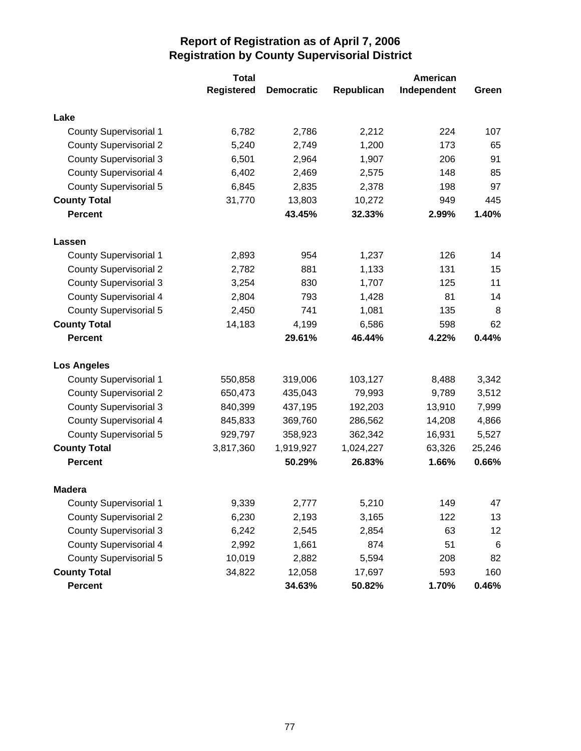|                               | <b>Total</b>      |                   |            | American    |        |
|-------------------------------|-------------------|-------------------|------------|-------------|--------|
|                               | <b>Registered</b> | <b>Democratic</b> | Republican | Independent | Green  |
| Lake                          |                   |                   |            |             |        |
| <b>County Supervisorial 1</b> | 6,782             | 2,786             | 2,212      | 224         | 107    |
| <b>County Supervisorial 2</b> | 5,240             | 2,749             | 1,200      | 173         | 65     |
| <b>County Supervisorial 3</b> | 6,501             | 2,964             | 1,907      | 206         | 91     |
| <b>County Supervisorial 4</b> | 6,402             | 2,469             | 2,575      | 148         | 85     |
| <b>County Supervisorial 5</b> | 6,845             | 2,835             | 2,378      | 198         | 97     |
| <b>County Total</b>           | 31,770            | 13,803            | 10,272     | 949         | 445    |
| <b>Percent</b>                |                   | 43.45%            | 32.33%     | 2.99%       | 1.40%  |
| Lassen                        |                   |                   |            |             |        |
| <b>County Supervisorial 1</b> | 2,893             | 954               | 1,237      | 126         | 14     |
| <b>County Supervisorial 2</b> | 2,782             | 881               | 1,133      | 131         | 15     |
| <b>County Supervisorial 3</b> | 3,254             | 830               | 1,707      | 125         | 11     |
| <b>County Supervisorial 4</b> | 2,804             | 793               | 1,428      | 81          | 14     |
| <b>County Supervisorial 5</b> | 2,450             | 741               | 1,081      | 135         | 8      |
| <b>County Total</b>           | 14,183            | 4,199             | 6,586      | 598         | 62     |
| <b>Percent</b>                |                   | 29.61%            | 46.44%     | 4.22%       | 0.44%  |
| <b>Los Angeles</b>            |                   |                   |            |             |        |
| <b>County Supervisorial 1</b> | 550,858           | 319,006           | 103,127    | 8,488       | 3,342  |
| <b>County Supervisorial 2</b> | 650,473           | 435,043           | 79,993     | 9,789       | 3,512  |
| <b>County Supervisorial 3</b> | 840,399           | 437,195           | 192,203    | 13,910      | 7,999  |
| <b>County Supervisorial 4</b> | 845,833           | 369,760           | 286,562    | 14,208      | 4,866  |
| <b>County Supervisorial 5</b> | 929,797           | 358,923           | 362,342    | 16,931      | 5,527  |
| <b>County Total</b>           | 3,817,360         | 1,919,927         | 1,024,227  | 63,326      | 25,246 |
| <b>Percent</b>                |                   | 50.29%            | 26.83%     | 1.66%       | 0.66%  |
| <b>Madera</b>                 |                   |                   |            |             |        |
| <b>County Supervisorial 1</b> | 9,339             | 2,777             | 5,210      | 149         | 47     |
| <b>County Supervisorial 2</b> | 6,230             | 2,193             | 3,165      | 122         | 13     |
| <b>County Supervisorial 3</b> | 6,242             | 2,545             | 2,854      | 63          | 12     |
| <b>County Supervisorial 4</b> | 2,992             | 1,661             | 874        | 51          | $\,6$  |
| <b>County Supervisorial 5</b> | 10,019            | 2,882             | 5,594      | 208         | 82     |
| <b>County Total</b>           | 34,822            | 12,058            | 17,697     | 593         | 160    |
| Percent                       |                   | 34.63%            | 50.82%     | 1.70%       | 0.46%  |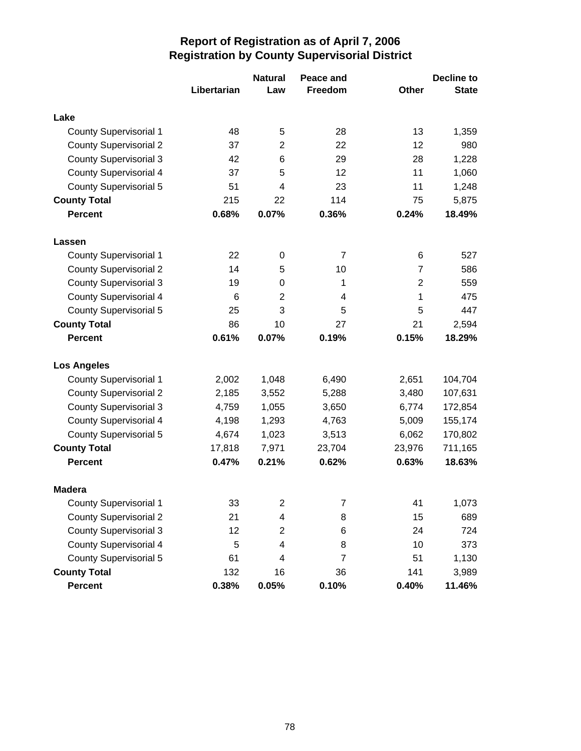|                               |             | <b>Natural</b>          | Peace and |                | <b>Decline to</b> |
|-------------------------------|-------------|-------------------------|-----------|----------------|-------------------|
|                               | Libertarian | Law                     | Freedom   | Other          | <b>State</b>      |
| Lake                          |             |                         |           |                |                   |
| <b>County Supervisorial 1</b> | 48          | 5                       | 28        | 13             | 1,359             |
| <b>County Supervisorial 2</b> | 37          | $\overline{2}$          | 22        | 12             | 980               |
| <b>County Supervisorial 3</b> | 42          | 6                       | 29        | 28             | 1,228             |
| <b>County Supervisorial 4</b> | 37          | 5                       | 12        | 11             | 1,060             |
| <b>County Supervisorial 5</b> | 51          | $\overline{4}$          | 23        | 11             | 1,248             |
| <b>County Total</b>           | 215         | 22                      | 114       | 75             | 5,875             |
| <b>Percent</b>                | 0.68%       | 0.07%                   | 0.36%     | 0.24%          | 18.49%            |
| Lassen                        |             |                         |           |                |                   |
| <b>County Supervisorial 1</b> | 22          | 0                       | 7         | 6              | 527               |
| <b>County Supervisorial 2</b> | 14          | 5                       | 10        | $\overline{7}$ | 586               |
| <b>County Supervisorial 3</b> | 19          | 0                       | 1         | $\overline{2}$ | 559               |
| <b>County Supervisorial 4</b> | 6           | $\overline{2}$          | 4         | 1              | 475               |
| <b>County Supervisorial 5</b> | 25          | 3                       | 5         | 5              | 447               |
| <b>County Total</b>           | 86          | 10                      | 27        | 21             | 2,594             |
| <b>Percent</b>                | 0.61%       | 0.07%                   | 0.19%     | 0.15%          | 18.29%            |
| <b>Los Angeles</b>            |             |                         |           |                |                   |
| <b>County Supervisorial 1</b> | 2,002       | 1,048                   | 6,490     | 2,651          | 104,704           |
| <b>County Supervisorial 2</b> | 2,185       | 3,552                   | 5,288     | 3,480          | 107,631           |
| <b>County Supervisorial 3</b> | 4,759       | 1,055                   | 3,650     | 6,774          | 172,854           |
| <b>County Supervisorial 4</b> | 4,198       | 1,293                   | 4,763     | 5,009          | 155,174           |
| <b>County Supervisorial 5</b> | 4,674       | 1,023                   | 3,513     | 6,062          | 170,802           |
| <b>County Total</b>           | 17,818      | 7,971                   | 23,704    | 23,976         | 711,165           |
| <b>Percent</b>                | 0.47%       | 0.21%                   | 0.62%     | 0.63%          | 18.63%            |
| <b>Madera</b>                 |             |                         |           |                |                   |
| <b>County Supervisorial 1</b> | 33          | $\overline{\mathbf{c}}$ | 7         | 41             | 1,073             |
| <b>County Supervisorial 2</b> | 21          | 4                       | 8         | 15             | 689               |
| <b>County Supervisorial 3</b> | 12          | 2                       | 6         | 24             | 724               |
| <b>County Supervisorial 4</b> | 5           | 4                       | 8         | 10             | 373               |
| <b>County Supervisorial 5</b> | 61          | 4                       | 7         | 51             | 1,130             |
| <b>County Total</b>           | 132         | 16                      | 36        | 141            | 3,989             |
| Percent                       | 0.38%       | 0.05%                   | 0.10%     | 0.40%          | 11.46%            |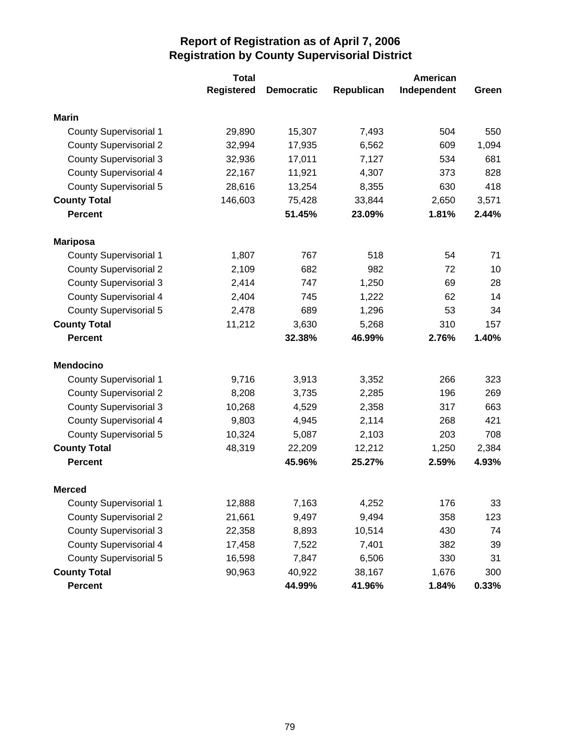|                               | <b>Total</b>      |                   | American   |             |       |  |
|-------------------------------|-------------------|-------------------|------------|-------------|-------|--|
|                               | <b>Registered</b> | <b>Democratic</b> | Republican | Independent | Green |  |
| <b>Marin</b>                  |                   |                   |            |             |       |  |
| <b>County Supervisorial 1</b> | 29,890            | 15,307            | 7,493      | 504         | 550   |  |
| <b>County Supervisorial 2</b> | 32,994            | 17,935            | 6,562      | 609         | 1,094 |  |
| <b>County Supervisorial 3</b> | 32,936            | 17,011            | 7,127      | 534         | 681   |  |
| <b>County Supervisorial 4</b> | 22,167            | 11,921            | 4,307      | 373         | 828   |  |
| County Supervisorial 5        | 28,616            | 13,254            | 8,355      | 630         | 418   |  |
| <b>County Total</b>           | 146,603           | 75,428            | 33,844     | 2,650       | 3,571 |  |
| <b>Percent</b>                |                   | 51.45%            | 23.09%     | 1.81%       | 2.44% |  |
| <b>Mariposa</b>               |                   |                   |            |             |       |  |
| <b>County Supervisorial 1</b> | 1,807             | 767               | 518        | 54          | 71    |  |
| <b>County Supervisorial 2</b> | 2,109             | 682               | 982        | 72          | 10    |  |
| <b>County Supervisorial 3</b> | 2,414             | 747               | 1,250      | 69          | 28    |  |
| <b>County Supervisorial 4</b> | 2,404             | 745               | 1,222      | 62          | 14    |  |
| <b>County Supervisorial 5</b> | 2,478             | 689               | 1,296      | 53          | 34    |  |
| <b>County Total</b>           | 11,212            | 3,630             | 5,268      | 310         | 157   |  |
| <b>Percent</b>                |                   | 32.38%            | 46.99%     | 2.76%       | 1.40% |  |
| <b>Mendocino</b>              |                   |                   |            |             |       |  |
| <b>County Supervisorial 1</b> | 9,716             | 3,913             | 3,352      | 266         | 323   |  |
| <b>County Supervisorial 2</b> | 8,208             | 3,735             | 2,285      | 196         | 269   |  |
| <b>County Supervisorial 3</b> | 10,268            | 4,529             | 2,358      | 317         | 663   |  |
| <b>County Supervisorial 4</b> | 9,803             | 4,945             | 2,114      | 268         | 421   |  |
| <b>County Supervisorial 5</b> | 10,324            | 5,087             | 2,103      | 203         | 708   |  |
| <b>County Total</b>           | 48,319            | 22,209            | 12,212     | 1,250       | 2,384 |  |
| <b>Percent</b>                |                   | 45.96%            | 25.27%     | 2.59%       | 4.93% |  |
| <b>Merced</b>                 |                   |                   |            |             |       |  |
| <b>County Supervisorial 1</b> | 12,888            | 7,163             | 4,252      | 176         | 33    |  |
| <b>County Supervisorial 2</b> | 21,661            | 9,497             | 9,494      | 358         | 123   |  |
| <b>County Supervisorial 3</b> | 22,358            | 8,893             | 10,514     | 430         | 74    |  |
| <b>County Supervisorial 4</b> | 17,458            | 7,522             | 7,401      | 382         | 39    |  |
| <b>County Supervisorial 5</b> | 16,598            | 7,847             | 6,506      | 330         | 31    |  |
| <b>County Total</b>           | 90,963            | 40,922            | 38,167     | 1,676       | 300   |  |
| Percent                       |                   | 44.99%            | 41.96%     | 1.84%       | 0.33% |  |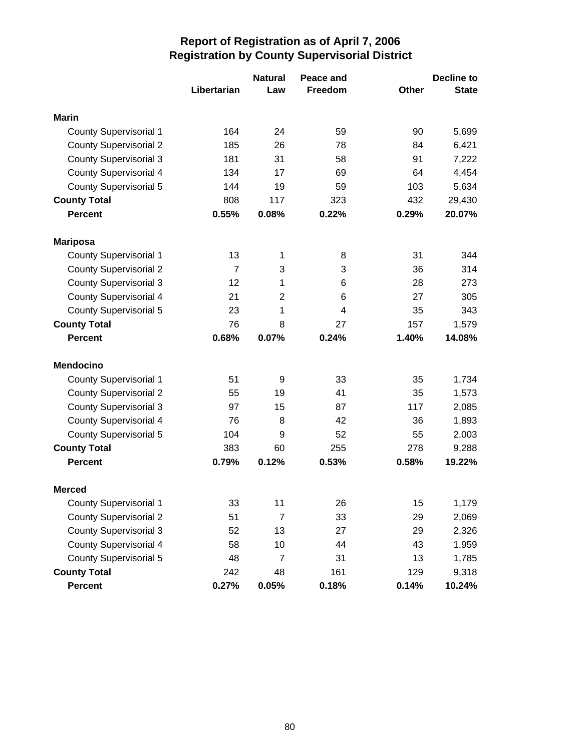|                               |                | <b>Natural</b> | Peace and |              | <b>Decline to</b> |
|-------------------------------|----------------|----------------|-----------|--------------|-------------------|
|                               | Libertarian    | Law            | Freedom   | <b>Other</b> | <b>State</b>      |
| <b>Marin</b>                  |                |                |           |              |                   |
| <b>County Supervisorial 1</b> | 164            | 24             | 59        | 90           | 5,699             |
| <b>County Supervisorial 2</b> | 185            | 26             | 78        | 84           | 6,421             |
| <b>County Supervisorial 3</b> | 181            | 31             | 58        | 91           | 7,222             |
| <b>County Supervisorial 4</b> | 134            | 17             | 69        | 64           | 4,454             |
| <b>County Supervisorial 5</b> | 144            | 19             | 59        | 103          | 5,634             |
| <b>County Total</b>           | 808            | 117            | 323       | 432          | 29,430            |
| <b>Percent</b>                | 0.55%          | 0.08%          | 0.22%     | 0.29%        | 20.07%            |
| <b>Mariposa</b>               |                |                |           |              |                   |
| <b>County Supervisorial 1</b> | 13             | 1              | 8         | 31           | 344               |
| <b>County Supervisorial 2</b> | $\overline{7}$ | 3              | 3         | 36           | 314               |
| <b>County Supervisorial 3</b> | 12             | 1              | 6         | 28           | 273               |
| <b>County Supervisorial 4</b> | 21             | $\overline{2}$ | 6         | 27           | 305               |
| <b>County Supervisorial 5</b> | 23             | 1              | 4         | 35           | 343               |
| <b>County Total</b>           | 76             | 8              | 27        | 157          | 1,579             |
| <b>Percent</b>                | 0.68%          | 0.07%          | 0.24%     | 1.40%        | 14.08%            |
| <b>Mendocino</b>              |                |                |           |              |                   |
| <b>County Supervisorial 1</b> | 51             | 9              | 33        | 35           | 1,734             |
| <b>County Supervisorial 2</b> | 55             | 19             | 41        | 35           | 1,573             |
| <b>County Supervisorial 3</b> | 97             | 15             | 87        | 117          | 2,085             |
| <b>County Supervisorial 4</b> | 76             | 8              | 42        | 36           | 1,893             |
| <b>County Supervisorial 5</b> | 104            | 9              | 52        | 55           | 2,003             |
| <b>County Total</b>           | 383            | 60             | 255       | 278          | 9,288             |
| <b>Percent</b>                | 0.79%          | 0.12%          | 0.53%     | 0.58%        | 19.22%            |
| <b>Merced</b>                 |                |                |           |              |                   |
| <b>County Supervisorial 1</b> | 33             | 11             | 26        | 15           | 1,179             |
| <b>County Supervisorial 2</b> | 51             | $\overline{7}$ | 33        | 29           | 2,069             |
| <b>County Supervisorial 3</b> | 52             | 13             | 27        | 29           | 2,326             |
| <b>County Supervisorial 4</b> | 58             | 10             | 44        | 43           | 1,959             |
| <b>County Supervisorial 5</b> | 48             | $\overline{7}$ | 31        | 13           | 1,785             |
| <b>County Total</b>           | 242            | 48             | 161       | 129          | 9,318             |
| Percent                       | 0.27%          | 0.05%          | 0.18%     | 0.14%        | 10.24%            |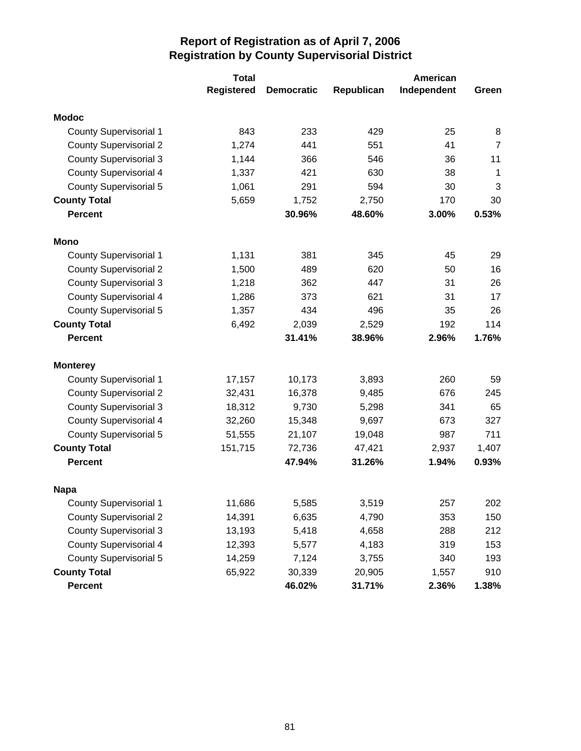|                               | <b>Total</b>      |                   | American   |             |                |  |
|-------------------------------|-------------------|-------------------|------------|-------------|----------------|--|
|                               | <b>Registered</b> | <b>Democratic</b> | Republican | Independent | Green          |  |
| <b>Modoc</b>                  |                   |                   |            |             |                |  |
| <b>County Supervisorial 1</b> | 843               | 233               | 429        | 25          | 8              |  |
| <b>County Supervisorial 2</b> | 1,274             | 441               | 551        | 41          | $\overline{7}$ |  |
| <b>County Supervisorial 3</b> | 1,144             | 366               | 546        | 36          | 11             |  |
| <b>County Supervisorial 4</b> | 1,337             | 421               | 630        | 38          | $\mathbf 1$    |  |
| County Supervisorial 5        | 1,061             | 291               | 594        | 30          | 3              |  |
| <b>County Total</b>           | 5,659             | 1,752             | 2,750      | 170         | 30             |  |
| <b>Percent</b>                |                   | 30.96%            | 48.60%     | 3.00%       | 0.53%          |  |
| Mono                          |                   |                   |            |             |                |  |
| <b>County Supervisorial 1</b> | 1,131             | 381               | 345        | 45          | 29             |  |
| <b>County Supervisorial 2</b> | 1,500             | 489               | 620        | 50          | 16             |  |
| <b>County Supervisorial 3</b> | 1,218             | 362               | 447        | 31          | 26             |  |
| <b>County Supervisorial 4</b> | 1,286             | 373               | 621        | 31          | 17             |  |
| <b>County Supervisorial 5</b> | 1,357             | 434               | 496        | 35          | 26             |  |
| <b>County Total</b>           | 6,492             | 2,039             | 2,529      | 192         | 114            |  |
| <b>Percent</b>                |                   | 31.41%            | 38.96%     | 2.96%       | 1.76%          |  |
| <b>Monterey</b>               |                   |                   |            |             |                |  |
| <b>County Supervisorial 1</b> | 17,157            | 10,173            | 3,893      | 260         | 59             |  |
| <b>County Supervisorial 2</b> | 32,431            | 16,378            | 9,485      | 676         | 245            |  |
| <b>County Supervisorial 3</b> | 18,312            | 9,730             | 5,298      | 341         | 65             |  |
| <b>County Supervisorial 4</b> | 32,260            | 15,348            | 9,697      | 673         | 327            |  |
| <b>County Supervisorial 5</b> | 51,555            | 21,107            | 19,048     | 987         | 711            |  |
| <b>County Total</b>           | 151,715           | 72,736            | 47,421     | 2,937       | 1,407          |  |
| <b>Percent</b>                |                   | 47.94%            | 31.26%     | 1.94%       | 0.93%          |  |
| <b>Napa</b>                   |                   |                   |            |             |                |  |
| <b>County Supervisorial 1</b> | 11,686            | 5,585             | 3,519      | 257         | 202            |  |
| <b>County Supervisorial 2</b> | 14,391            | 6,635             | 4,790      | 353         | 150            |  |
| <b>County Supervisorial 3</b> | 13,193            | 5,418             | 4,658      | 288         | 212            |  |
| <b>County Supervisorial 4</b> | 12,393            | 5,577             | 4,183      | 319         | 153            |  |
| <b>County Supervisorial 5</b> | 14,259            | 7,124             | 3,755      | 340         | 193            |  |
| <b>County Total</b>           | 65,922            | 30,339            | 20,905     | 1,557       | 910            |  |
| Percent                       |                   | 46.02%            | 31.71%     | 2.36%       | 1.38%          |  |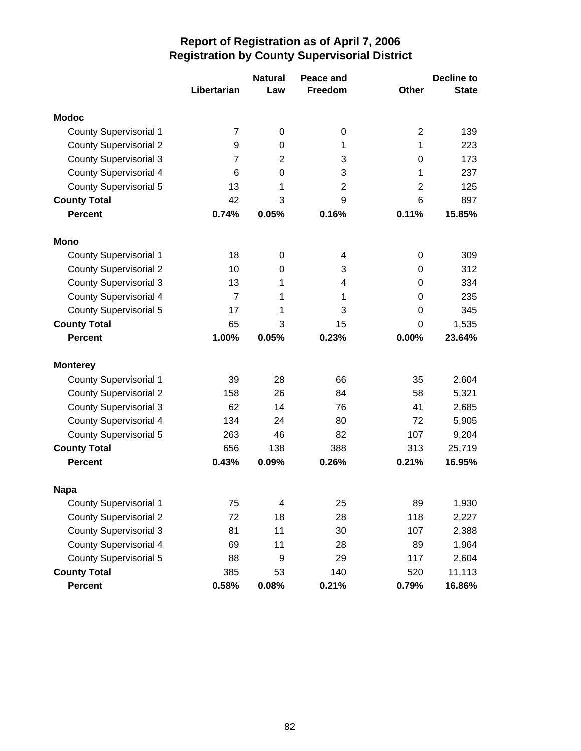|                               |                | <b>Natural</b> | Peace and      |                | <b>Decline to</b> |
|-------------------------------|----------------|----------------|----------------|----------------|-------------------|
|                               | Libertarian    | Law            | <b>Freedom</b> | <b>Other</b>   | <b>State</b>      |
| <b>Modoc</b>                  |                |                |                |                |                   |
| <b>County Supervisorial 1</b> | 7              | 0              | 0              | $\overline{2}$ | 139               |
| <b>County Supervisorial 2</b> | 9              | 0              | 1              | 1              | 223               |
| <b>County Supervisorial 3</b> | 7              | $\overline{2}$ | 3              | 0              | 173               |
| <b>County Supervisorial 4</b> | 6              | 0              | 3              | 1              | 237               |
| <b>County Supervisorial 5</b> | 13             | 1              | $\overline{2}$ | $\overline{2}$ | 125               |
| <b>County Total</b>           | 42             | 3              | 9              | 6              | 897               |
| <b>Percent</b>                | 0.74%          | 0.05%          | 0.16%          | 0.11%          | 15.85%            |
| <b>Mono</b>                   |                |                |                |                |                   |
| <b>County Supervisorial 1</b> | 18             | 0              | 4              | 0              | 309               |
| <b>County Supervisorial 2</b> | 10             | 0              | 3              | 0              | 312               |
| <b>County Supervisorial 3</b> | 13             | 1              | 4              | 0              | 334               |
| <b>County Supervisorial 4</b> | $\overline{7}$ | 1              | 1              | 0              | 235               |
| <b>County Supervisorial 5</b> | 17             | 1              | 3              | 0              | 345               |
| <b>County Total</b>           | 65             | 3              | 15             | 0              | 1,535             |
| <b>Percent</b>                | 1.00%          | 0.05%          | 0.23%          | 0.00%          | 23.64%            |
| <b>Monterey</b>               |                |                |                |                |                   |
| <b>County Supervisorial 1</b> | 39             | 28             | 66             | 35             | 2,604             |
| <b>County Supervisorial 2</b> | 158            | 26             | 84             | 58             | 5,321             |
| <b>County Supervisorial 3</b> | 62             | 14             | 76             | 41             | 2,685             |
| <b>County Supervisorial 4</b> | 134            | 24             | 80             | 72             | 5,905             |
| <b>County Supervisorial 5</b> | 263            | 46             | 82             | 107            | 9,204             |
| <b>County Total</b>           | 656            | 138            | 388            | 313            | 25,719            |
| <b>Percent</b>                | 0.43%          | 0.09%          | 0.26%          | 0.21%          | 16.95%            |
| <b>Napa</b>                   |                |                |                |                |                   |
| <b>County Supervisorial 1</b> | 75             | 4              | 25             | 89             | 1,930             |
| <b>County Supervisorial 2</b> | 72             | 18             | 28             | 118            | 2,227             |
| <b>County Supervisorial 3</b> | 81             | 11             | 30             | 107            | 2,388             |
| <b>County Supervisorial 4</b> | 69             | 11             | 28             | 89             | 1,964             |
| <b>County Supervisorial 5</b> | 88             | 9              | 29             | 117            | 2,604             |
| <b>County Total</b>           | 385            | 53             | 140            | 520            | 11,113            |
| Percent                       | 0.58%          | 0.08%          | 0.21%          | 0.79%          | 16.86%            |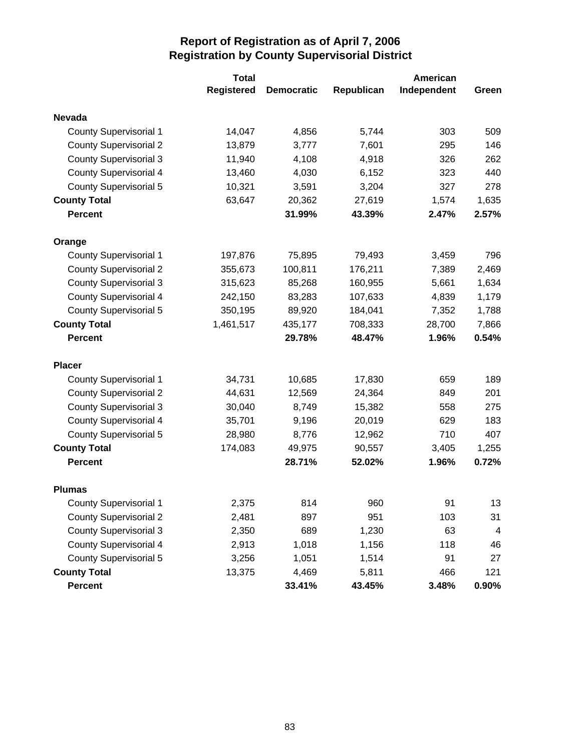|                               | <b>Total</b>      |                   | American   |             |                         |  |
|-------------------------------|-------------------|-------------------|------------|-------------|-------------------------|--|
|                               | <b>Registered</b> | <b>Democratic</b> | Republican | Independent | Green                   |  |
| <b>Nevada</b>                 |                   |                   |            |             |                         |  |
| <b>County Supervisorial 1</b> | 14,047            | 4,856             | 5,744      | 303         | 509                     |  |
| <b>County Supervisorial 2</b> | 13,879            | 3,777             | 7,601      | 295         | 146                     |  |
| <b>County Supervisorial 3</b> | 11,940            | 4,108             | 4,918      | 326         | 262                     |  |
| <b>County Supervisorial 4</b> | 13,460            | 4,030             | 6,152      | 323         | 440                     |  |
| County Supervisorial 5        | 10,321            | 3,591             | 3,204      | 327         | 278                     |  |
| <b>County Total</b>           | 63,647            | 20,362            | 27,619     | 1,574       | 1,635                   |  |
| <b>Percent</b>                |                   | 31.99%            | 43.39%     | 2.47%       | 2.57%                   |  |
| Orange                        |                   |                   |            |             |                         |  |
| <b>County Supervisorial 1</b> | 197,876           | 75,895            | 79,493     | 3,459       | 796                     |  |
| <b>County Supervisorial 2</b> | 355,673           | 100,811           | 176,211    | 7,389       | 2,469                   |  |
| <b>County Supervisorial 3</b> | 315,623           | 85,268            | 160,955    | 5,661       | 1,634                   |  |
| <b>County Supervisorial 4</b> | 242,150           | 83,283            | 107,633    | 4,839       | 1,179                   |  |
| <b>County Supervisorial 5</b> | 350,195           | 89,920            | 184,041    | 7,352       | 1,788                   |  |
| <b>County Total</b>           | 1,461,517         | 435,177           | 708,333    | 28,700      | 7,866                   |  |
| <b>Percent</b>                |                   | 29.78%            | 48.47%     | 1.96%       | 0.54%                   |  |
| <b>Placer</b>                 |                   |                   |            |             |                         |  |
| <b>County Supervisorial 1</b> | 34,731            | 10,685            | 17,830     | 659         | 189                     |  |
| <b>County Supervisorial 2</b> | 44,631            | 12,569            | 24,364     | 849         | 201                     |  |
| <b>County Supervisorial 3</b> | 30,040            | 8,749             | 15,382     | 558         | 275                     |  |
| <b>County Supervisorial 4</b> | 35,701            | 9,196             | 20,019     | 629         | 183                     |  |
| <b>County Supervisorial 5</b> | 28,980            | 8,776             | 12,962     | 710         | 407                     |  |
| <b>County Total</b>           | 174,083           | 49,975            | 90,557     | 3,405       | 1,255                   |  |
| <b>Percent</b>                |                   | 28.71%            | 52.02%     | 1.96%       | 0.72%                   |  |
| <b>Plumas</b>                 |                   |                   |            |             |                         |  |
| <b>County Supervisorial 1</b> | 2,375             | 814               | 960        | 91          | 13                      |  |
| <b>County Supervisorial 2</b> | 2,481             | 897               | 951        | 103         | 31                      |  |
| <b>County Supervisorial 3</b> | 2,350             | 689               | 1,230      | 63          | $\overline{\mathbf{4}}$ |  |
| <b>County Supervisorial 4</b> | 2,913             | 1,018             | 1,156      | 118         | 46                      |  |
| <b>County Supervisorial 5</b> | 3,256             | 1,051             | 1,514      | 91          | 27                      |  |
| <b>County Total</b>           | 13,375            | 4,469             | 5,811      | 466         | 121                     |  |
| Percent                       |                   | 33.41%            | 43.45%     | 3.48%       | $0.90\%$                |  |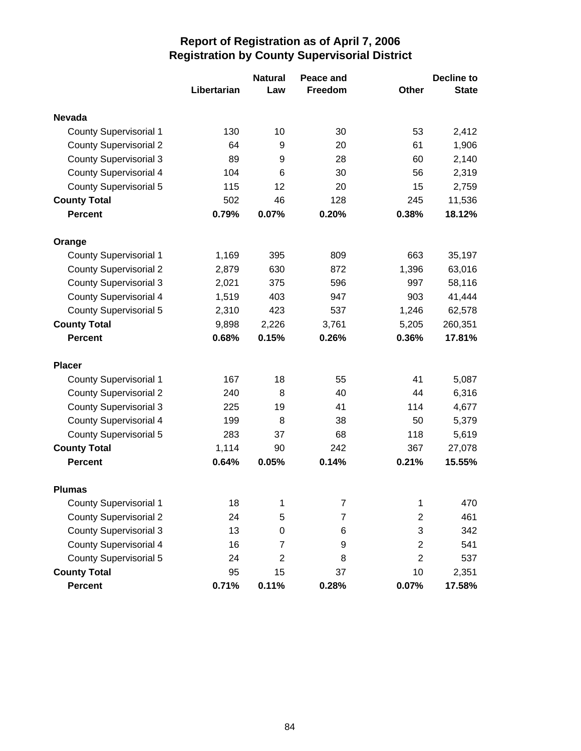|                               |             | <b>Natural</b> | Peace and |                | <b>Decline to</b> |
|-------------------------------|-------------|----------------|-----------|----------------|-------------------|
|                               | Libertarian | Law            | Freedom   | Other          | <b>State</b>      |
| <b>Nevada</b>                 |             |                |           |                |                   |
| <b>County Supervisorial 1</b> | 130         | 10             | 30        | 53             | 2,412             |
| <b>County Supervisorial 2</b> | 64          | 9              | 20        | 61             | 1,906             |
| <b>County Supervisorial 3</b> | 89          | 9              | 28        | 60             | 2,140             |
| <b>County Supervisorial 4</b> | 104         | 6              | 30        | 56             | 2,319             |
| <b>County Supervisorial 5</b> | 115         | 12             | 20        | 15             | 2,759             |
| <b>County Total</b>           | 502         | 46             | 128       | 245            | 11,536            |
| <b>Percent</b>                | 0.79%       | 0.07%          | 0.20%     | 0.38%          | 18.12%            |
| Orange                        |             |                |           |                |                   |
| <b>County Supervisorial 1</b> | 1,169       | 395            | 809       | 663            | 35,197            |
| <b>County Supervisorial 2</b> | 2,879       | 630            | 872       | 1,396          | 63,016            |
| <b>County Supervisorial 3</b> | 2,021       | 375            | 596       | 997            | 58,116            |
| <b>County Supervisorial 4</b> | 1,519       | 403            | 947       | 903            | 41,444            |
| <b>County Supervisorial 5</b> | 2,310       | 423            | 537       | 1,246          | 62,578            |
| <b>County Total</b>           | 9,898       | 2,226          | 3,761     | 5,205          | 260,351           |
| <b>Percent</b>                | 0.68%       | 0.15%          | 0.26%     | 0.36%          | 17.81%            |
| <b>Placer</b>                 |             |                |           |                |                   |
| <b>County Supervisorial 1</b> | 167         | 18             | 55        | 41             | 5,087             |
| <b>County Supervisorial 2</b> | 240         | 8              | 40        | 44             | 6,316             |
| <b>County Supervisorial 3</b> | 225         | 19             | 41        | 114            | 4,677             |
| <b>County Supervisorial 4</b> | 199         | 8              | 38        | 50             | 5,379             |
| <b>County Supervisorial 5</b> | 283         | 37             | 68        | 118            | 5,619             |
| <b>County Total</b>           | 1,114       | 90             | 242       | 367            | 27,078            |
| <b>Percent</b>                | 0.64%       | 0.05%          | 0.14%     | 0.21%          | 15.55%            |
| <b>Plumas</b>                 |             |                |           |                |                   |
| <b>County Supervisorial 1</b> | 18          | 1              | 7         | 1              | 470               |
| <b>County Supervisorial 2</b> | 24          | 5              | 7         | $\mathbf{2}$   | 461               |
| <b>County Supervisorial 3</b> | 13          | 0              | 6         | 3              | 342               |
| <b>County Supervisorial 4</b> | 16          | 7              | 9         | 2              | 541               |
| <b>County Supervisorial 5</b> | 24          | $\overline{2}$ | 8         | $\overline{2}$ | 537               |
| <b>County Total</b>           | 95          | 15             | 37        | 10             | 2,351             |
| Percent                       | 0.71%       | 0.11%          | 0.28%     | 0.07%          | 17.58%            |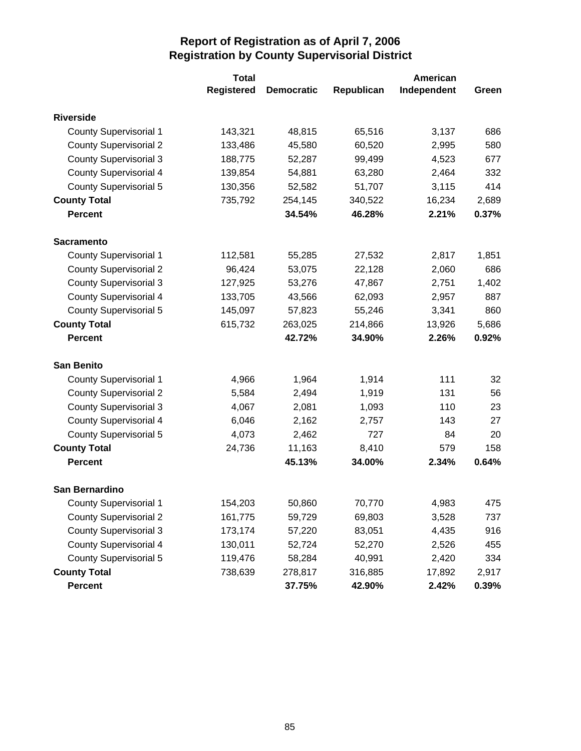|                               | <b>Total</b>      |                   |            | American    |       |
|-------------------------------|-------------------|-------------------|------------|-------------|-------|
|                               | <b>Registered</b> | <b>Democratic</b> | Republican | Independent | Green |
| <b>Riverside</b>              |                   |                   |            |             |       |
| <b>County Supervisorial 1</b> | 143,321           | 48,815            | 65,516     | 3,137       | 686   |
| <b>County Supervisorial 2</b> | 133,486           | 45,580            | 60,520     | 2,995       | 580   |
| <b>County Supervisorial 3</b> | 188,775           | 52,287            | 99,499     | 4,523       | 677   |
| <b>County Supervisorial 4</b> | 139,854           | 54,881            | 63,280     | 2,464       | 332   |
| <b>County Supervisorial 5</b> | 130,356           | 52,582            | 51,707     | 3,115       | 414   |
| <b>County Total</b>           | 735,792           | 254,145           | 340,522    | 16,234      | 2,689 |
| <b>Percent</b>                |                   | 34.54%            | 46.28%     | 2.21%       | 0.37% |
| <b>Sacramento</b>             |                   |                   |            |             |       |
| <b>County Supervisorial 1</b> | 112,581           | 55,285            | 27,532     | 2,817       | 1,851 |
| <b>County Supervisorial 2</b> | 96,424            | 53,075            | 22,128     | 2,060       | 686   |
| <b>County Supervisorial 3</b> | 127,925           | 53,276            | 47,867     | 2,751       | 1,402 |
| <b>County Supervisorial 4</b> | 133,705           | 43,566            | 62,093     | 2,957       | 887   |
| <b>County Supervisorial 5</b> | 145,097           | 57,823            | 55,246     | 3,341       | 860   |
| <b>County Total</b>           | 615,732           | 263,025           | 214,866    | 13,926      | 5,686 |
| <b>Percent</b>                |                   | 42.72%            | 34.90%     | 2.26%       | 0.92% |
| <b>San Benito</b>             |                   |                   |            |             |       |
| <b>County Supervisorial 1</b> | 4,966             | 1,964             | 1,914      | 111         | 32    |
| <b>County Supervisorial 2</b> | 5,584             | 2,494             | 1,919      | 131         | 56    |
| <b>County Supervisorial 3</b> | 4,067             | 2,081             | 1,093      | 110         | 23    |
| <b>County Supervisorial 4</b> | 6,046             | 2,162             | 2,757      | 143         | 27    |
| <b>County Supervisorial 5</b> | 4,073             | 2,462             | 727        | 84          | 20    |
| <b>County Total</b>           | 24,736            | 11,163            | 8,410      | 579         | 158   |
| <b>Percent</b>                |                   | 45.13%            | 34.00%     | 2.34%       | 0.64% |
| <b>San Bernardino</b>         |                   |                   |            |             |       |
| <b>County Supervisorial 1</b> | 154,203           | 50,860            | 70,770     | 4,983       | 475   |
| <b>County Supervisorial 2</b> | 161,775           | 59,729            | 69,803     | 3,528       | 737   |
| <b>County Supervisorial 3</b> | 173,174           | 57,220            | 83,051     | 4,435       | 916   |
| <b>County Supervisorial 4</b> | 130,011           | 52,724            | 52,270     | 2,526       | 455   |
| <b>County Supervisorial 5</b> | 119,476           | 58,284            | 40,991     | 2,420       | 334   |
| <b>County Total</b>           | 738,639           | 278,817           | 316,885    | 17,892      | 2,917 |
| <b>Percent</b>                |                   | 37.75%            | 42.90%     | 2.42%       | 0.39% |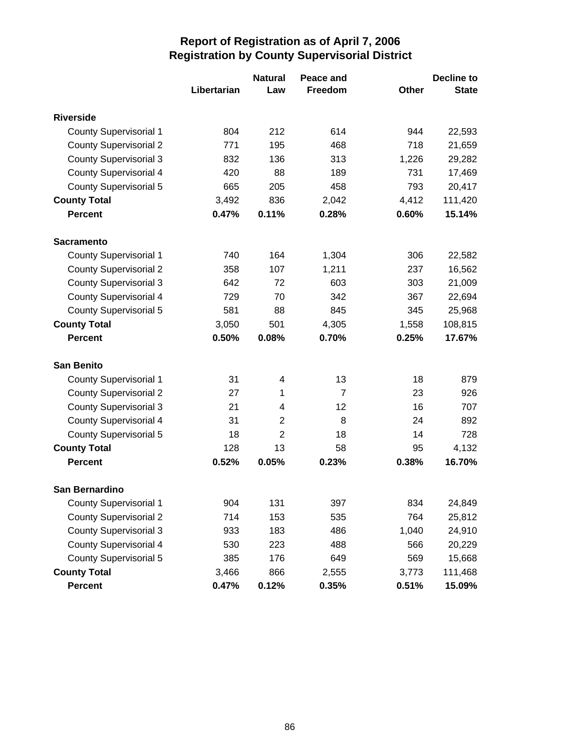|                               |             | <b>Natural</b> | Peace and      |              | <b>Decline to</b> |
|-------------------------------|-------------|----------------|----------------|--------------|-------------------|
|                               | Libertarian | Law            | Freedom        | <b>Other</b> | <b>State</b>      |
| <b>Riverside</b>              |             |                |                |              |                   |
| <b>County Supervisorial 1</b> | 804         | 212            | 614            | 944          | 22,593            |
| <b>County Supervisorial 2</b> | 771         | 195            | 468            | 718          | 21,659            |
| <b>County Supervisorial 3</b> | 832         | 136            | 313            | 1,226        | 29,282            |
| <b>County Supervisorial 4</b> | 420         | 88             | 189            | 731          | 17,469            |
| <b>County Supervisorial 5</b> | 665         | 205            | 458            | 793          | 20,417            |
| <b>County Total</b>           | 3,492       | 836            | 2,042          | 4,412        | 111,420           |
| <b>Percent</b>                | 0.47%       | 0.11%          | 0.28%          | 0.60%        | 15.14%            |
| <b>Sacramento</b>             |             |                |                |              |                   |
| <b>County Supervisorial 1</b> | 740         | 164            | 1,304          | 306          | 22,582            |
| <b>County Supervisorial 2</b> | 358         | 107            | 1,211          | 237          | 16,562            |
| <b>County Supervisorial 3</b> | 642         | 72             | 603            | 303          | 21,009            |
| <b>County Supervisorial 4</b> | 729         | 70             | 342            | 367          | 22,694            |
| <b>County Supervisorial 5</b> | 581         | 88             | 845            | 345          | 25,968            |
| <b>County Total</b>           | 3,050       | 501            | 4,305          | 1,558        | 108,815           |
| <b>Percent</b>                | 0.50%       | 0.08%          | 0.70%          | 0.25%        | 17.67%            |
| <b>San Benito</b>             |             |                |                |              |                   |
| <b>County Supervisorial 1</b> | 31          | 4              | 13             | 18           | 879               |
| <b>County Supervisorial 2</b> | 27          | 1              | $\overline{7}$ | 23           | 926               |
| <b>County Supervisorial 3</b> | 21          | 4              | 12             | 16           | 707               |
| <b>County Supervisorial 4</b> | 31          | $\overline{2}$ | 8              | 24           | 892               |
| <b>County Supervisorial 5</b> | 18          | $\overline{2}$ | 18             | 14           | 728               |
| <b>County Total</b>           | 128         | 13             | 58             | 95           | 4,132             |
| <b>Percent</b>                | 0.52%       | 0.05%          | 0.23%          | 0.38%        | 16.70%            |
| San Bernardino                |             |                |                |              |                   |
| <b>County Supervisorial 1</b> | 904         | 131            | 397            | 834          | 24,849            |
| <b>County Supervisorial 2</b> | 714         | 153            | 535            | 764          | 25,812            |
| <b>County Supervisorial 3</b> | 933         | 183            | 486            | 1,040        | 24,910            |
| <b>County Supervisorial 4</b> | 530         | 223            | 488            | 566          | 20,229            |
| <b>County Supervisorial 5</b> | 385         | 176            | 649            | 569          | 15,668            |
| <b>County Total</b>           | 3,466       | 866            | 2,555          | 3,773        | 111,468           |
| <b>Percent</b>                | 0.47%       | 0.12%          | 0.35%          | 0.51%        | 15.09%            |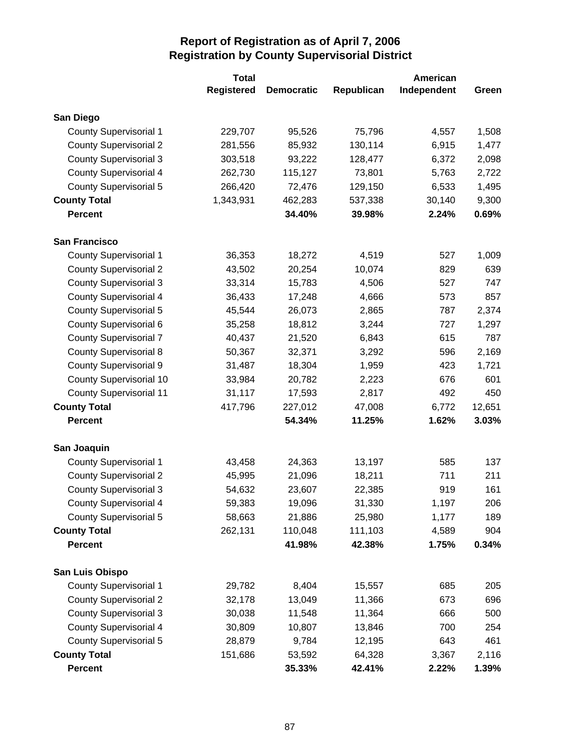|                                | <b>Total</b>      |                   |            | American    |        |
|--------------------------------|-------------------|-------------------|------------|-------------|--------|
|                                | <b>Registered</b> | <b>Democratic</b> | Republican | Independent | Green  |
| San Diego                      |                   |                   |            |             |        |
| <b>County Supervisorial 1</b>  | 229,707           | 95,526            | 75,796     | 4,557       | 1,508  |
| <b>County Supervisorial 2</b>  | 281,556           | 85,932            | 130,114    | 6,915       | 1,477  |
| <b>County Supervisorial 3</b>  | 303,518           | 93,222            | 128,477    | 6,372       | 2,098  |
| <b>County Supervisorial 4</b>  | 262,730           | 115,127           | 73,801     | 5,763       | 2,722  |
| County Supervisorial 5         | 266,420           | 72,476            | 129,150    | 6,533       | 1,495  |
| <b>County Total</b>            | 1,343,931         | 462,283           | 537,338    | 30,140      | 9,300  |
| <b>Percent</b>                 |                   | 34.40%            | 39.98%     | 2.24%       | 0.69%  |
| <b>San Francisco</b>           |                   |                   |            |             |        |
| <b>County Supervisorial 1</b>  | 36,353            | 18,272            | 4,519      | 527         | 1,009  |
| <b>County Supervisorial 2</b>  | 43,502            | 20,254            | 10,074     | 829         | 639    |
| <b>County Supervisorial 3</b>  | 33,314            | 15,783            | 4,506      | 527         | 747    |
| <b>County Supervisorial 4</b>  | 36,433            | 17,248            | 4,666      | 573         | 857    |
| <b>County Supervisorial 5</b>  | 45,544            | 26,073            | 2,865      | 787         | 2,374  |
| County Supervisorial 6         | 35,258            | 18,812            | 3,244      | 727         | 1,297  |
| <b>County Supervisorial 7</b>  | 40,437            | 21,520            | 6,843      | 615         | 787    |
| <b>County Supervisorial 8</b>  | 50,367            | 32,371            | 3,292      | 596         | 2,169  |
| <b>County Supervisorial 9</b>  | 31,487            | 18,304            | 1,959      | 423         | 1,721  |
| <b>County Supervisorial 10</b> | 33,984            | 20,782            | 2,223      | 676         | 601    |
| <b>County Supervisorial 11</b> | 31,117            | 17,593            | 2,817      | 492         | 450    |
| <b>County Total</b>            | 417,796           | 227,012           | 47,008     | 6,772       | 12,651 |
| <b>Percent</b>                 |                   | 54.34%            | 11.25%     | 1.62%       | 3.03%  |
| San Joaquin                    |                   |                   |            |             |        |
| <b>County Supervisorial 1</b>  | 43,458            | 24,363            | 13,197     | 585         | 137    |
| <b>County Supervisorial 2</b>  | 45,995            | 21,096            | 18,211     | 711         | 211    |
| <b>County Supervisorial 3</b>  | 54,632            | 23,607            | 22,385     | 919         | 161    |
| <b>County Supervisorial 4</b>  | 59,383            | 19,096            | 31,330     | 1,197       | 206    |
| <b>County Supervisorial 5</b>  | 58,663            | 21,886            | 25,980     | 1,177       | 189    |
| <b>County Total</b>            | 262,131           | 110,048           | 111,103    | 4,589       | 904    |
| <b>Percent</b>                 |                   | 41.98%            | 42.38%     | 1.75%       | 0.34%  |
| San Luis Obispo                |                   |                   |            |             |        |
| <b>County Supervisorial 1</b>  | 29,782            | 8,404             | 15,557     | 685         | 205    |
| <b>County Supervisorial 2</b>  | 32,178            | 13,049            | 11,366     | 673         | 696    |
| <b>County Supervisorial 3</b>  | 30,038            | 11,548            | 11,364     | 666         | 500    |
| <b>County Supervisorial 4</b>  | 30,809            | 10,807            | 13,846     | 700         | 254    |
| <b>County Supervisorial 5</b>  | 28,879            | 9,784             | 12,195     | 643         | 461    |
| <b>County Total</b>            | 151,686           | 53,592            | 64,328     | 3,367       | 2,116  |
| Percent                        |                   | 35.33%            | 42.41%     | 2.22%       | 1.39%  |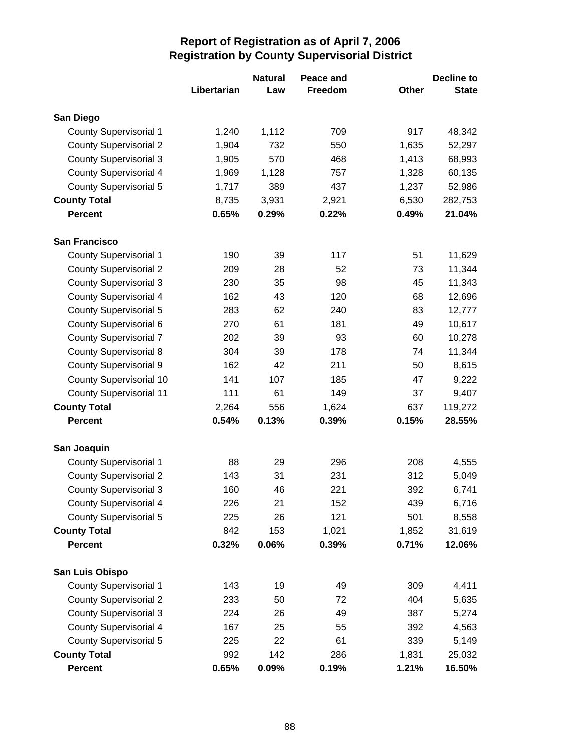|                                |             | <b>Natural</b> | Peace and      |       | Decline to   |
|--------------------------------|-------------|----------------|----------------|-------|--------------|
|                                | Libertarian | Law            | <b>Freedom</b> | Other | <b>State</b> |
| San Diego                      |             |                |                |       |              |
| <b>County Supervisorial 1</b>  | 1,240       | 1,112          | 709            | 917   | 48,342       |
| <b>County Supervisorial 2</b>  | 1,904       | 732            | 550            | 1,635 | 52,297       |
| <b>County Supervisorial 3</b>  | 1,905       | 570            | 468            | 1,413 | 68,993       |
| <b>County Supervisorial 4</b>  | 1,969       | 1,128          | 757            | 1,328 | 60,135       |
| <b>County Supervisorial 5</b>  | 1,717       | 389            | 437            | 1,237 | 52,986       |
| <b>County Total</b>            | 8,735       | 3,931          | 2,921          | 6,530 | 282,753      |
| <b>Percent</b>                 | 0.65%       | 0.29%          | 0.22%          | 0.49% | 21.04%       |
| <b>San Francisco</b>           |             |                |                |       |              |
| <b>County Supervisorial 1</b>  | 190         | 39             | 117            | 51    | 11,629       |
| <b>County Supervisorial 2</b>  | 209         | 28             | 52             | 73    | 11,344       |
| <b>County Supervisorial 3</b>  | 230         | 35             | 98             | 45    | 11,343       |
| <b>County Supervisorial 4</b>  | 162         | 43             | 120            | 68    | 12,696       |
| <b>County Supervisorial 5</b>  | 283         | 62             | 240            | 83    | 12,777       |
| County Supervisorial 6         | 270         | 61             | 181            | 49    | 10,617       |
| <b>County Supervisorial 7</b>  | 202         | 39             | 93             | 60    | 10,278       |
| <b>County Supervisorial 8</b>  | 304         | 39             | 178            | 74    | 11,344       |
| <b>County Supervisorial 9</b>  | 162         | 42             | 211            | 50    | 8,615        |
| <b>County Supervisorial 10</b> | 141         | 107            | 185            | 47    | 9,222        |
| <b>County Supervisorial 11</b> | 111         | 61             | 149            | 37    | 9,407        |
| <b>County Total</b>            | 2,264       | 556            | 1,624          | 637   | 119,272      |
| <b>Percent</b>                 | 0.54%       | 0.13%          | 0.39%          | 0.15% | 28.55%       |
| San Joaquin                    |             |                |                |       |              |
| <b>County Supervisorial 1</b>  | 88          | 29             | 296            | 208   | 4,555        |
| <b>County Supervisorial 2</b>  | 143         | 31             | 231            | 312   | 5,049        |
| <b>County Supervisorial 3</b>  | 160         | 46             | 221            | 392   | 6,741        |
| County Supervisorial 4         | 226         | 21             | 152            | 439   | 6,716        |
| <b>County Supervisorial 5</b>  | 225         | 26             | 121            | 501   | 8,558        |
| <b>County Total</b>            | 842         | 153            | 1,021          | 1,852 | 31,619       |
| <b>Percent</b>                 | 0.32%       | 0.06%          | 0.39%          | 0.71% | 12.06%       |
| San Luis Obispo                |             |                |                |       |              |
| <b>County Supervisorial 1</b>  | 143         | 19             | 49             | 309   | 4,411        |
| <b>County Supervisorial 2</b>  | 233         | 50             | 72             | 404   | 5,635        |
| <b>County Supervisorial 3</b>  | 224         | 26             | 49             | 387   | 5,274        |
| <b>County Supervisorial 4</b>  | 167         | 25             | 55             | 392   | 4,563        |
| <b>County Supervisorial 5</b>  | 225         | 22             | 61             | 339   | 5,149        |
| <b>County Total</b>            | 992         | 142            | 286            | 1,831 | 25,032       |
| Percent                        | 0.65%       | 0.09%          | 0.19%          | 1.21% | 16.50%       |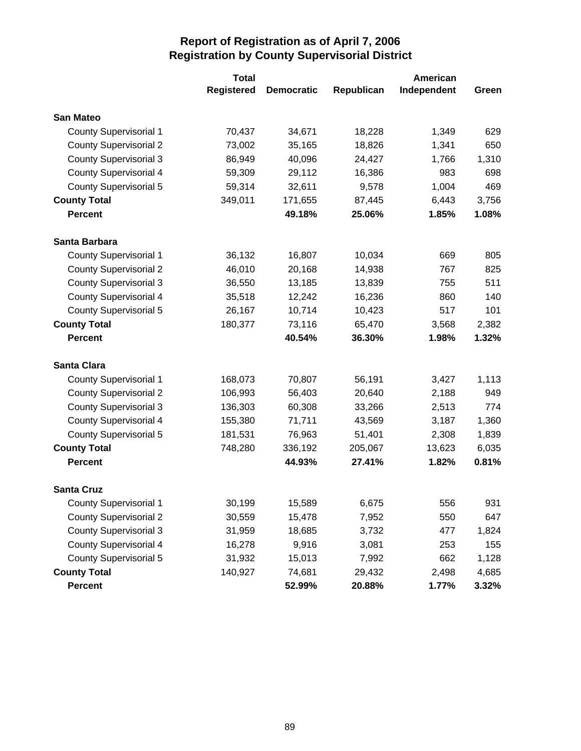|                               | <b>Total</b>      |                   |            | American    |       |
|-------------------------------|-------------------|-------------------|------------|-------------|-------|
|                               | <b>Registered</b> | <b>Democratic</b> | Republican | Independent | Green |
| <b>San Mateo</b>              |                   |                   |            |             |       |
| <b>County Supervisorial 1</b> | 70,437            | 34,671            | 18,228     | 1,349       | 629   |
| <b>County Supervisorial 2</b> | 73,002            | 35,165            | 18,826     | 1,341       | 650   |
| <b>County Supervisorial 3</b> | 86,949            | 40,096            | 24,427     | 1,766       | 1,310 |
| <b>County Supervisorial 4</b> | 59,309            | 29,112            | 16,386     | 983         | 698   |
| <b>County Supervisorial 5</b> | 59,314            | 32,611            | 9,578      | 1,004       | 469   |
| <b>County Total</b>           | 349,011           | 171,655           | 87,445     | 6,443       | 3,756 |
| <b>Percent</b>                |                   | 49.18%            | 25.06%     | 1.85%       | 1.08% |
| Santa Barbara                 |                   |                   |            |             |       |
| <b>County Supervisorial 1</b> | 36,132            | 16,807            | 10,034     | 669         | 805   |
| <b>County Supervisorial 2</b> | 46,010            | 20,168            | 14,938     | 767         | 825   |
| <b>County Supervisorial 3</b> | 36,550            | 13,185            | 13,839     | 755         | 511   |
| <b>County Supervisorial 4</b> | 35,518            | 12,242            | 16,236     | 860         | 140   |
| <b>County Supervisorial 5</b> | 26,167            | 10,714            | 10,423     | 517         | 101   |
| <b>County Total</b>           | 180,377           | 73,116            | 65,470     | 3,568       | 2,382 |
| <b>Percent</b>                |                   | 40.54%            | 36.30%     | 1.98%       | 1.32% |
| <b>Santa Clara</b>            |                   |                   |            |             |       |
| <b>County Supervisorial 1</b> | 168,073           | 70,807            | 56,191     | 3,427       | 1,113 |
| <b>County Supervisorial 2</b> | 106,993           | 56,403            | 20,640     | 2,188       | 949   |
| <b>County Supervisorial 3</b> | 136,303           | 60,308            | 33,266     | 2,513       | 774   |
| <b>County Supervisorial 4</b> | 155,380           | 71,711            | 43,569     | 3,187       | 1,360 |
| <b>County Supervisorial 5</b> | 181,531           | 76,963            | 51,401     | 2,308       | 1,839 |
| <b>County Total</b>           | 748,280           | 336,192           | 205,067    | 13,623      | 6,035 |
| <b>Percent</b>                |                   | 44.93%            | 27.41%     | 1.82%       | 0.81% |
| <b>Santa Cruz</b>             |                   |                   |            |             |       |
| <b>County Supervisorial 1</b> | 30,199            | 15,589            | 6,675      | 556         | 931   |
| <b>County Supervisorial 2</b> | 30,559            | 15,478            | 7,952      | 550         | 647   |
| <b>County Supervisorial 3</b> | 31,959            | 18,685            | 3,732      | 477         | 1,824 |
| <b>County Supervisorial 4</b> | 16,278            | 9,916             | 3,081      | 253         | 155   |
| <b>County Supervisorial 5</b> | 31,932            | 15,013            | 7,992      | 662         | 1,128 |
| <b>County Total</b>           | 140,927           | 74,681            | 29,432     | 2,498       | 4,685 |
| <b>Percent</b>                |                   | 52.99%            | 20.88%     | 1.77%       | 3.32% |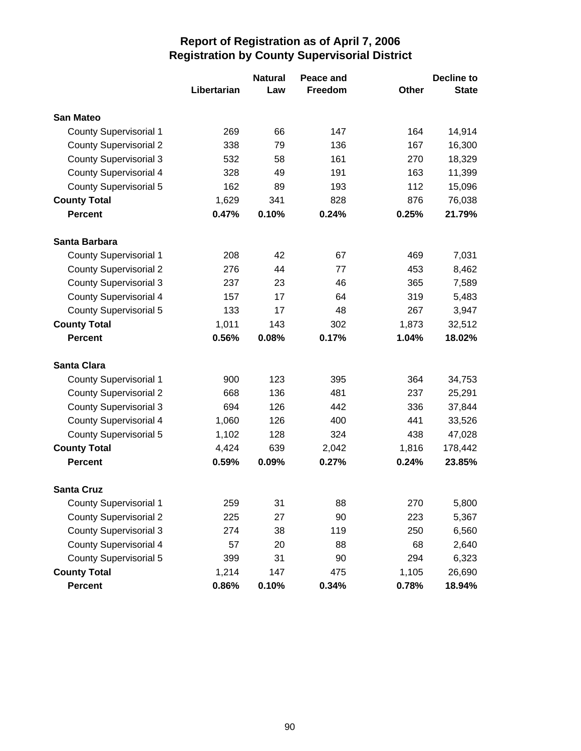|                               |             | <b>Natural</b> | Peace and |       | <b>Decline to</b> |
|-------------------------------|-------------|----------------|-----------|-------|-------------------|
|                               | Libertarian | Law            | Freedom   | Other | <b>State</b>      |
| <b>San Mateo</b>              |             |                |           |       |                   |
| <b>County Supervisorial 1</b> | 269         | 66             | 147       | 164   | 14,914            |
| <b>County Supervisorial 2</b> | 338         | 79             | 136       | 167   | 16,300            |
| <b>County Supervisorial 3</b> | 532         | 58             | 161       | 270   | 18,329            |
| <b>County Supervisorial 4</b> | 328         | 49             | 191       | 163   | 11,399            |
| <b>County Supervisorial 5</b> | 162         | 89             | 193       | 112   | 15,096            |
| <b>County Total</b>           | 1,629       | 341            | 828       | 876   | 76,038            |
| <b>Percent</b>                | 0.47%       | 0.10%          | 0.24%     | 0.25% | 21.79%            |
| Santa Barbara                 |             |                |           |       |                   |
| <b>County Supervisorial 1</b> | 208         | 42             | 67        | 469   | 7,031             |
| <b>County Supervisorial 2</b> | 276         | 44             | 77        | 453   | 8,462             |
| <b>County Supervisorial 3</b> | 237         | 23             | 46        | 365   | 7,589             |
| <b>County Supervisorial 4</b> | 157         | 17             | 64        | 319   | 5,483             |
| <b>County Supervisorial 5</b> | 133         | 17             | 48        | 267   | 3,947             |
| <b>County Total</b>           | 1,011       | 143            | 302       | 1,873 | 32,512            |
| <b>Percent</b>                | 0.56%       | 0.08%          | 0.17%     | 1.04% | 18.02%            |
| <b>Santa Clara</b>            |             |                |           |       |                   |
| <b>County Supervisorial 1</b> | 900         | 123            | 395       | 364   | 34,753            |
| <b>County Supervisorial 2</b> | 668         | 136            | 481       | 237   | 25,291            |
| <b>County Supervisorial 3</b> | 694         | 126            | 442       | 336   | 37,844            |
| <b>County Supervisorial 4</b> | 1,060       | 126            | 400       | 441   | 33,526            |
| <b>County Supervisorial 5</b> | 1,102       | 128            | 324       | 438   | 47,028            |
| <b>County Total</b>           | 4,424       | 639            | 2,042     | 1,816 | 178,442           |
| <b>Percent</b>                | 0.59%       | 0.09%          | 0.27%     | 0.24% | 23.85%            |
| <b>Santa Cruz</b>             |             |                |           |       |                   |
| <b>County Supervisorial 1</b> | 259         | 31             | 88        | 270   | 5,800             |
| <b>County Supervisorial 2</b> | 225         | 27             | 90        | 223   | 5,367             |
| <b>County Supervisorial 3</b> | 274         | 38             | 119       | 250   | 6,560             |
| <b>County Supervisorial 4</b> | 57          | 20             | 88        | 68    | 2,640             |
| <b>County Supervisorial 5</b> | 399         | 31             | 90        | 294   | 6,323             |
| <b>County Total</b>           | 1,214       | 147            | 475       | 1,105 | 26,690            |
| <b>Percent</b>                | 0.86%       | 0.10%          | 0.34%     | 0.78% | 18.94%            |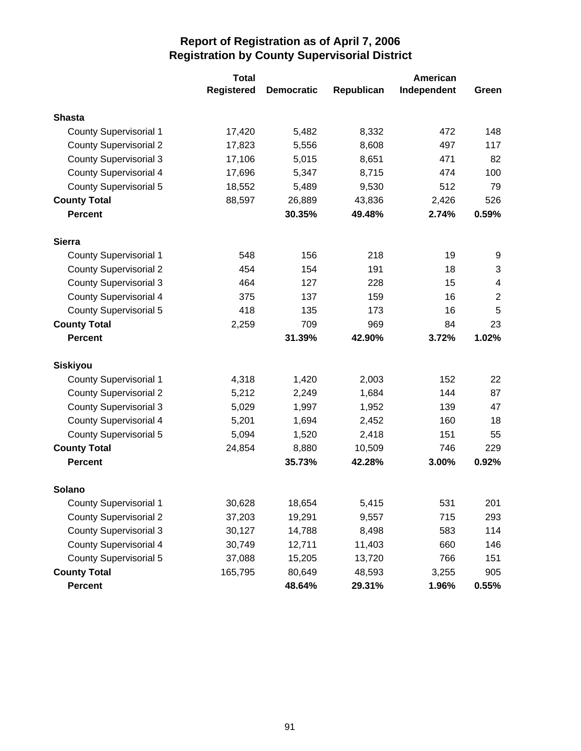|                               | <b>Total</b>      |                   | American   |             |                |
|-------------------------------|-------------------|-------------------|------------|-------------|----------------|
|                               | <b>Registered</b> | <b>Democratic</b> | Republican | Independent | Green          |
| <b>Shasta</b>                 |                   |                   |            |             |                |
| <b>County Supervisorial 1</b> | 17,420            | 5,482             | 8,332      | 472         | 148            |
| <b>County Supervisorial 2</b> | 17,823            | 5,556             | 8,608      | 497         | 117            |
| <b>County Supervisorial 3</b> | 17,106            | 5,015             | 8,651      | 471         | 82             |
| <b>County Supervisorial 4</b> | 17,696            | 5,347             | 8,715      | 474         | 100            |
| <b>County Supervisorial 5</b> | 18,552            | 5,489             | 9,530      | 512         | 79             |
| <b>County Total</b>           | 88,597            | 26,889            | 43,836     | 2,426       | 526            |
| <b>Percent</b>                |                   | 30.35%            | 49.48%     | 2.74%       | 0.59%          |
| <b>Sierra</b>                 |                   |                   |            |             |                |
| <b>County Supervisorial 1</b> | 548               | 156               | 218        | 19          | 9              |
| <b>County Supervisorial 2</b> | 454               | 154               | 191        | 18          | 3              |
| <b>County Supervisorial 3</b> | 464               | 127               | 228        | 15          | 4              |
| <b>County Supervisorial 4</b> | 375               | 137               | 159        | 16          | $\overline{2}$ |
| <b>County Supervisorial 5</b> | 418               | 135               | 173        | 16          | 5              |
| <b>County Total</b>           | 2,259             | 709               | 969        | 84          | 23             |
| <b>Percent</b>                |                   | 31.39%            | 42.90%     | 3.72%       | 1.02%          |
| <b>Siskiyou</b>               |                   |                   |            |             |                |
| <b>County Supervisorial 1</b> | 4,318             | 1,420             | 2,003      | 152         | 22             |
| <b>County Supervisorial 2</b> | 5,212             | 2,249             | 1,684      | 144         | 87             |
| <b>County Supervisorial 3</b> | 5,029             | 1,997             | 1,952      | 139         | 47             |
| <b>County Supervisorial 4</b> | 5,201             | 1,694             | 2,452      | 160         | 18             |
| <b>County Supervisorial 5</b> | 5,094             | 1,520             | 2,418      | 151         | 55             |
| <b>County Total</b>           | 24,854            | 8,880             | 10,509     | 746         | 229            |
| <b>Percent</b>                |                   | 35.73%            | 42.28%     | 3.00%       | 0.92%          |
| <b>Solano</b>                 |                   |                   |            |             |                |
| <b>County Supervisorial 1</b> | 30,628            | 18,654            | 5,415      | 531         | 201            |
| <b>County Supervisorial 2</b> | 37,203            | 19,291            | 9,557      | 715         | 293            |
| <b>County Supervisorial 3</b> | 30,127            | 14,788            | 8,498      | 583         | 114            |
| <b>County Supervisorial 4</b> | 30,749            | 12,711            | 11,403     | 660         | 146            |
| <b>County Supervisorial 5</b> | 37,088            | 15,205            | 13,720     | 766         | 151            |
| <b>County Total</b>           | 165,795           | 80,649            | 48,593     | 3,255       | 905            |
| Percent                       |                   | 48.64%            | 29.31%     | 1.96%       | 0.55%          |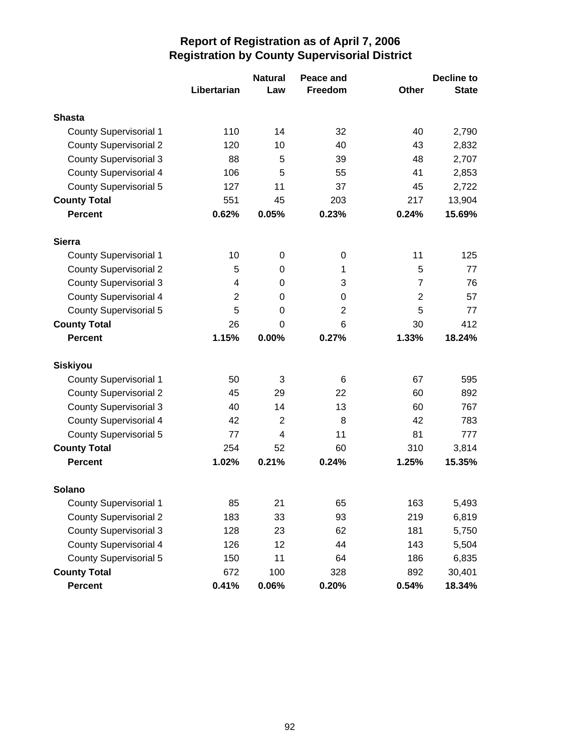|                               |                | <b>Natural</b> | Peace and      |                | <b>Decline to</b> |
|-------------------------------|----------------|----------------|----------------|----------------|-------------------|
|                               | Libertarian    | Law            | <b>Freedom</b> | <b>Other</b>   | <b>State</b>      |
| <b>Shasta</b>                 |                |                |                |                |                   |
| <b>County Supervisorial 1</b> | 110            | 14             | 32             | 40             | 2,790             |
| <b>County Supervisorial 2</b> | 120            | 10             | 40             | 43             | 2,832             |
| <b>County Supervisorial 3</b> | 88             | 5              | 39             | 48             | 2,707             |
| <b>County Supervisorial 4</b> | 106            | 5              | 55             | 41             | 2,853             |
| <b>County Supervisorial 5</b> | 127            | 11             | 37             | 45             | 2,722             |
| <b>County Total</b>           | 551            | 45             | 203            | 217            | 13,904            |
| <b>Percent</b>                | 0.62%          | 0.05%          | 0.23%          | 0.24%          | 15.69%            |
| <b>Sierra</b>                 |                |                |                |                |                   |
| <b>County Supervisorial 1</b> | 10             | 0              | $\pmb{0}$      | 11             | 125               |
| <b>County Supervisorial 2</b> | 5              | 0              | 1              | 5              | 77                |
| <b>County Supervisorial 3</b> | 4              | 0              | 3              | $\overline{7}$ | 76                |
| <b>County Supervisorial 4</b> | $\overline{2}$ | 0              | 0              | $\overline{2}$ | 57                |
| <b>County Supervisorial 5</b> | 5              | 0              | $\overline{2}$ | 5              | 77                |
| <b>County Total</b>           | 26             | 0              | 6              | 30             | 412               |
| <b>Percent</b>                | 1.15%          | 0.00%          | 0.27%          | 1.33%          | 18.24%            |
| <b>Siskiyou</b>               |                |                |                |                |                   |
| <b>County Supervisorial 1</b> | 50             | 3              | 6              | 67             | 595               |
| <b>County Supervisorial 2</b> | 45             | 29             | 22             | 60             | 892               |
| <b>County Supervisorial 3</b> | 40             | 14             | 13             | 60             | 767               |
| County Supervisorial 4        | 42             | $\overline{2}$ | 8              | 42             | 783               |
| <b>County Supervisorial 5</b> | 77             | $\overline{4}$ | 11             | 81             | 777               |
| <b>County Total</b>           | 254            | 52             | 60             | 310            | 3,814             |
| <b>Percent</b>                | 1.02%          | 0.21%          | 0.24%          | 1.25%          | 15.35%            |
| <b>Solano</b>                 |                |                |                |                |                   |
| <b>County Supervisorial 1</b> | 85             | 21             | 65             | 163            | 5,493             |
| <b>County Supervisorial 2</b> | 183            | 33             | 93             | 219            | 6,819             |
| <b>County Supervisorial 3</b> | 128            | 23             | 62             | 181            | 5,750             |
| <b>County Supervisorial 4</b> | 126            | 12             | 44             | 143            | 5,504             |
| <b>County Supervisorial 5</b> | 150            | 11             | 64             | 186            | 6,835             |
| <b>County Total</b>           | 672            | 100            | 328            | 892            | 30,401            |
| <b>Percent</b>                | 0.41%          | 0.06%          | 0.20%          | 0.54%          | 18.34%            |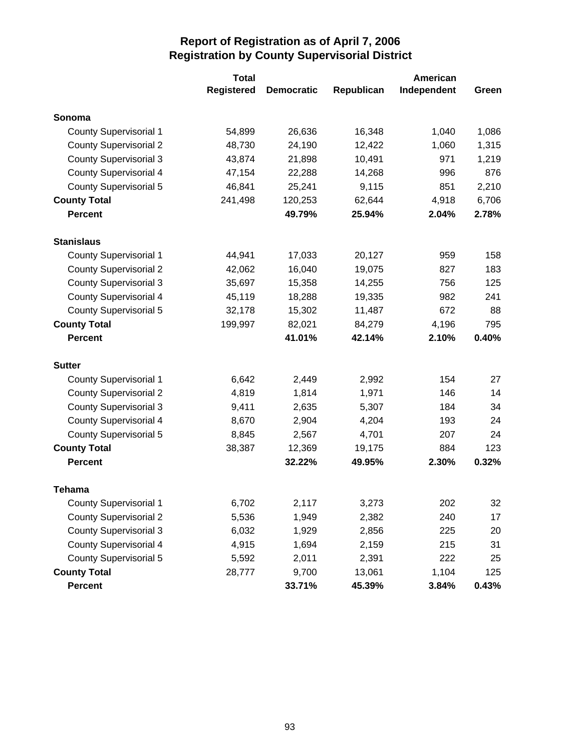|                               | <b>Total</b>      |                   |            |             |       |
|-------------------------------|-------------------|-------------------|------------|-------------|-------|
|                               | <b>Registered</b> | <b>Democratic</b> | Republican | Independent | Green |
| Sonoma                        |                   |                   |            |             |       |
| <b>County Supervisorial 1</b> | 54,899            | 26,636            | 16,348     | 1,040       | 1,086 |
| <b>County Supervisorial 2</b> | 48,730            | 24,190            | 12,422     | 1,060       | 1,315 |
| <b>County Supervisorial 3</b> | 43,874            | 21,898            | 10,491     | 971         | 1,219 |
| <b>County Supervisorial 4</b> | 47,154            | 22,288            | 14,268     | 996         | 876   |
| <b>County Supervisorial 5</b> | 46,841            | 25,241            | 9,115      | 851         | 2,210 |
| <b>County Total</b>           | 241,498           | 120,253           | 62,644     | 4,918       | 6,706 |
| <b>Percent</b>                |                   | 49.79%            | 25.94%     | 2.04%       | 2.78% |
| <b>Stanislaus</b>             |                   |                   |            |             |       |
| <b>County Supervisorial 1</b> | 44,941            | 17,033            | 20,127     | 959         | 158   |
| <b>County Supervisorial 2</b> | 42,062            | 16,040            | 19,075     | 827         | 183   |
| <b>County Supervisorial 3</b> | 35,697            | 15,358            | 14,255     | 756         | 125   |
| <b>County Supervisorial 4</b> | 45,119            | 18,288            | 19,335     | 982         | 241   |
| <b>County Supervisorial 5</b> | 32,178            | 15,302            | 11,487     | 672         | 88    |
| <b>County Total</b>           | 199,997           | 82,021            | 84,279     | 4,196       | 795   |
| <b>Percent</b>                |                   | 41.01%            | 42.14%     | 2.10%       | 0.40% |
| <b>Sutter</b>                 |                   |                   |            |             |       |
| <b>County Supervisorial 1</b> | 6,642             | 2,449             | 2,992      | 154         | 27    |
| <b>County Supervisorial 2</b> | 4,819             | 1,814             | 1,971      | 146         | 14    |
| <b>County Supervisorial 3</b> | 9,411             | 2,635             | 5,307      | 184         | 34    |
| <b>County Supervisorial 4</b> | 8,670             | 2,904             | 4,204      | 193         | 24    |
| <b>County Supervisorial 5</b> | 8,845             | 2,567             | 4,701      | 207         | 24    |
| <b>County Total</b>           | 38,387            | 12,369            | 19,175     | 884         | 123   |
| <b>Percent</b>                |                   | 32.22%            | 49.95%     | 2.30%       | 0.32% |
| <b>Tehama</b>                 |                   |                   |            |             |       |
| <b>County Supervisorial 1</b> | 6,702             | 2,117             | 3,273      | 202         | 32    |
| <b>County Supervisorial 2</b> | 5,536             | 1,949             | 2,382      | 240         | 17    |
| <b>County Supervisorial 3</b> | 6,032             | 1,929             | 2,856      | 225         | 20    |
| <b>County Supervisorial 4</b> | 4,915             | 1,694             | 2,159      | 215         | 31    |
| <b>County Supervisorial 5</b> | 5,592             | 2,011             | 2,391      | 222         | 25    |
| <b>County Total</b>           | 28,777            | 9,700             | 13,061     | 1,104       | 125   |
| Percent                       |                   | 33.71%            | 45.39%     | 3.84%       | 0.43% |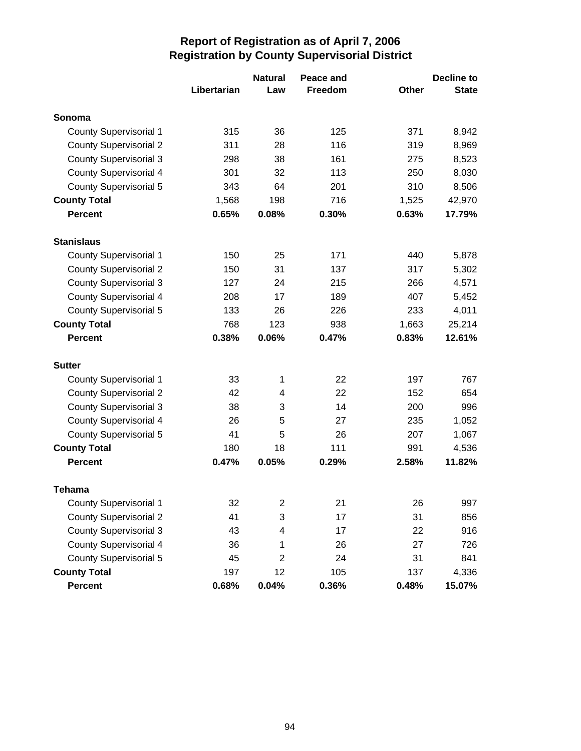|                               |             | <b>Natural</b>   | Peace and |       | <b>Decline to</b> |
|-------------------------------|-------------|------------------|-----------|-------|-------------------|
|                               | Libertarian | Law              | Freedom   | Other | <b>State</b>      |
| Sonoma                        |             |                  |           |       |                   |
| <b>County Supervisorial 1</b> | 315         | 36               | 125       | 371   | 8,942             |
| <b>County Supervisorial 2</b> | 311         | 28               | 116       | 319   | 8,969             |
| <b>County Supervisorial 3</b> | 298         | 38               | 161       | 275   | 8,523             |
| <b>County Supervisorial 4</b> | 301         | 32               | 113       | 250   | 8,030             |
| <b>County Supervisorial 5</b> | 343         | 64               | 201       | 310   | 8,506             |
| <b>County Total</b>           | 1,568       | 198              | 716       | 1,525 | 42,970            |
| <b>Percent</b>                | 0.65%       | 0.08%            | 0.30%     | 0.63% | 17.79%            |
| <b>Stanislaus</b>             |             |                  |           |       |                   |
| <b>County Supervisorial 1</b> | 150         | 25               | 171       | 440   | 5,878             |
| <b>County Supervisorial 2</b> | 150         | 31               | 137       | 317   | 5,302             |
| <b>County Supervisorial 3</b> | 127         | 24               | 215       | 266   | 4,571             |
| <b>County Supervisorial 4</b> | 208         | 17               | 189       | 407   | 5,452             |
| <b>County Supervisorial 5</b> | 133         | 26               | 226       | 233   | 4,011             |
| <b>County Total</b>           | 768         | 123              | 938       | 1,663 | 25,214            |
| <b>Percent</b>                | 0.38%       | 0.06%            | 0.47%     | 0.83% | 12.61%            |
| <b>Sutter</b>                 |             |                  |           |       |                   |
| <b>County Supervisorial 1</b> | 33          | 1                | 22        | 197   | 767               |
| <b>County Supervisorial 2</b> | 42          | 4                | 22        | 152   | 654               |
| <b>County Supervisorial 3</b> | 38          | 3                | 14        | 200   | 996               |
| <b>County Supervisorial 4</b> | 26          | 5                | 27        | 235   | 1,052             |
| <b>County Supervisorial 5</b> | 41          | 5                | 26        | 207   | 1,067             |
| <b>County Total</b>           | 180         | 18               | 111       | 991   | 4,536             |
| <b>Percent</b>                | 0.47%       | 0.05%            | 0.29%     | 2.58% | 11.82%            |
| <b>Tehama</b>                 |             |                  |           |       |                   |
| <b>County Supervisorial 1</b> | 32          | $\boldsymbol{2}$ | 21        | 26    | 997               |
| <b>County Supervisorial 2</b> | 41          | 3                | 17        | 31    | 856               |
| <b>County Supervisorial 3</b> | 43          | 4                | 17        | 22    | 916               |
| <b>County Supervisorial 4</b> | 36          | 1                | 26        | 27    | 726               |
| <b>County Supervisorial 5</b> | 45          | $\overline{c}$   | 24        | 31    | 841               |
| <b>County Total</b>           | 197         | 12               | 105       | 137   | 4,336             |
| <b>Percent</b>                | 0.68%       | 0.04%            | 0.36%     | 0.48% | 15.07%            |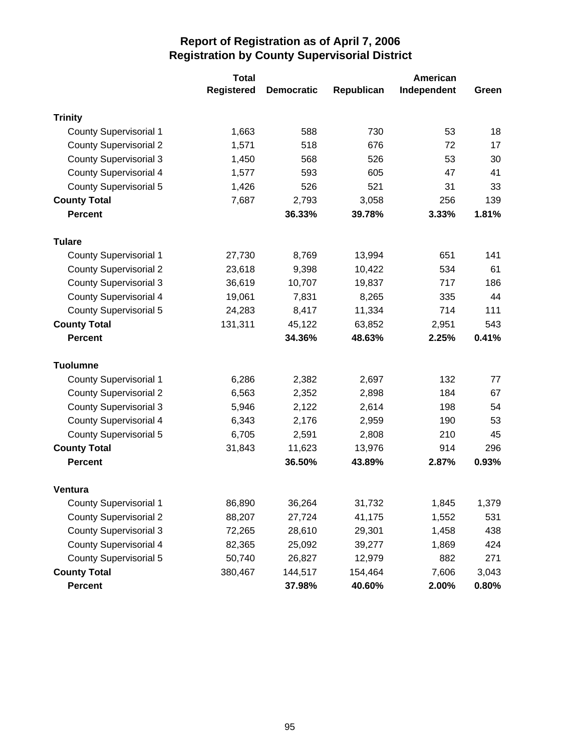|                               | <b>Total</b>      |                   | American   |             |          |
|-------------------------------|-------------------|-------------------|------------|-------------|----------|
|                               | <b>Registered</b> | <b>Democratic</b> | Republican | Independent | Green    |
| <b>Trinity</b>                |                   |                   |            |             |          |
| <b>County Supervisorial 1</b> | 1,663             | 588               | 730        | 53          | 18       |
| <b>County Supervisorial 2</b> | 1,571             | 518               | 676        | 72          | 17       |
| <b>County Supervisorial 3</b> | 1,450             | 568               | 526        | 53          | 30       |
| <b>County Supervisorial 4</b> | 1,577             | 593               | 605        | 47          | 41       |
| County Supervisorial 5        | 1,426             | 526               | 521        | 31          | 33       |
| <b>County Total</b>           | 7,687             | 2,793             | 3,058      | 256         | 139      |
| <b>Percent</b>                |                   | 36.33%            | 39.78%     | 3.33%       | 1.81%    |
| <b>Tulare</b>                 |                   |                   |            |             |          |
| <b>County Supervisorial 1</b> | 27,730            | 8,769             | 13,994     | 651         | 141      |
| <b>County Supervisorial 2</b> | 23,618            | 9,398             | 10,422     | 534         | 61       |
| <b>County Supervisorial 3</b> | 36,619            | 10,707            | 19,837     | 717         | 186      |
| <b>County Supervisorial 4</b> | 19,061            | 7,831             | 8,265      | 335         | 44       |
| County Supervisorial 5        | 24,283            | 8,417             | 11,334     | 714         | 111      |
| <b>County Total</b>           | 131,311           | 45,122            | 63,852     | 2,951       | 543      |
| <b>Percent</b>                |                   | 34.36%            | 48.63%     | 2.25%       | 0.41%    |
| <b>Tuolumne</b>               |                   |                   |            |             |          |
| <b>County Supervisorial 1</b> | 6,286             | 2,382             | 2,697      | 132         | 77       |
| <b>County Supervisorial 2</b> | 6,563             | 2,352             | 2,898      | 184         | 67       |
| <b>County Supervisorial 3</b> | 5,946             | 2,122             | 2,614      | 198         | 54       |
| <b>County Supervisorial 4</b> | 6,343             | 2,176             | 2,959      | 190         | 53       |
| <b>County Supervisorial 5</b> | 6,705             | 2,591             | 2,808      | 210         | 45       |
| <b>County Total</b>           | 31,843            | 11,623            | 13,976     | 914         | 296      |
| <b>Percent</b>                |                   | 36.50%            | 43.89%     | 2.87%       | 0.93%    |
| <b>Ventura</b>                |                   |                   |            |             |          |
| <b>County Supervisorial 1</b> | 86,890            | 36,264            | 31,732     | 1,845       | 1,379    |
| <b>County Supervisorial 2</b> | 88,207            | 27,724            | 41,175     | 1,552       | 531      |
| <b>County Supervisorial 3</b> | 72,265            | 28,610            | 29,301     | 1,458       | 438      |
| <b>County Supervisorial 4</b> | 82,365            | 25,092            | 39,277     | 1,869       | 424      |
| <b>County Supervisorial 5</b> | 50,740            | 26,827            | 12,979     | 882         | 271      |
| <b>County Total</b>           | 380,467           | 144,517           | 154,464    | 7,606       | 3,043    |
| <b>Percent</b>                |                   | 37.98%            | 40.60%     | 2.00%       | $0.80\%$ |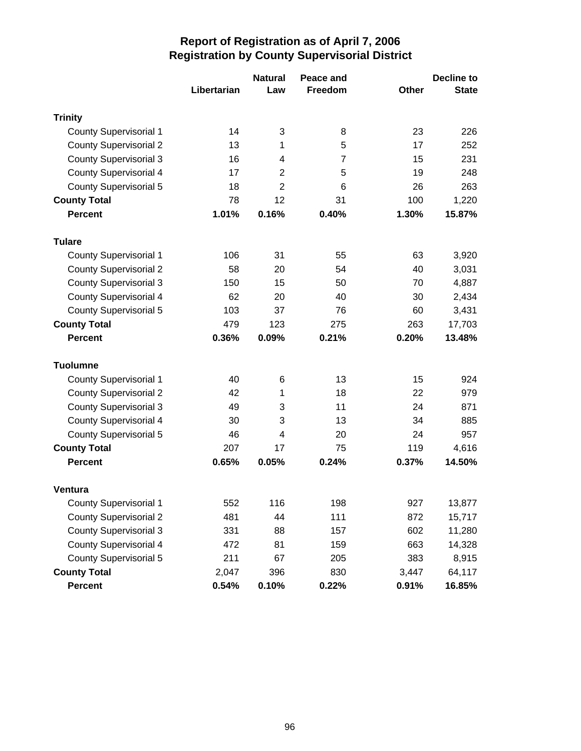|                               |             | <b>Natural</b> | Peace and      |              | <b>Decline to</b> |
|-------------------------------|-------------|----------------|----------------|--------------|-------------------|
|                               | Libertarian | Law            | <b>Freedom</b> | <b>Other</b> | <b>State</b>      |
| <b>Trinity</b>                |             |                |                |              |                   |
| <b>County Supervisorial 1</b> | 14          | 3              | 8              | 23           | 226               |
| <b>County Supervisorial 2</b> | 13          | 1              | 5              | 17           | 252               |
| <b>County Supervisorial 3</b> | 16          | 4              | 7              | 15           | 231               |
| <b>County Supervisorial 4</b> | 17          | $\overline{2}$ | 5              | 19           | 248               |
| <b>County Supervisorial 5</b> | 18          | $\overline{2}$ | 6              | 26           | 263               |
| <b>County Total</b>           | 78          | 12             | 31             | 100          | 1,220             |
| <b>Percent</b>                | 1.01%       | 0.16%          | 0.40%          | 1.30%        | 15.87%            |
| <b>Tulare</b>                 |             |                |                |              |                   |
| <b>County Supervisorial 1</b> | 106         | 31             | 55             | 63           | 3,920             |
| <b>County Supervisorial 2</b> | 58          | 20             | 54             | 40           | 3,031             |
| <b>County Supervisorial 3</b> | 150         | 15             | 50             | 70           | 4,887             |
| <b>County Supervisorial 4</b> | 62          | 20             | 40             | 30           | 2,434             |
| <b>County Supervisorial 5</b> | 103         | 37             | 76             | 60           | 3,431             |
| <b>County Total</b>           | 479         | 123            | 275            | 263          | 17,703            |
| <b>Percent</b>                | 0.36%       | 0.09%          | 0.21%          | 0.20%        | 13.48%            |
| <b>Tuolumne</b>               |             |                |                |              |                   |
| <b>County Supervisorial 1</b> | 40          | 6              | 13             | 15           | 924               |
| <b>County Supervisorial 2</b> | 42          | 1              | 18             | 22           | 979               |
| <b>County Supervisorial 3</b> | 49          | 3              | 11             | 24           | 871               |
| County Supervisorial 4        | 30          | 3              | 13             | 34           | 885               |
| <b>County Supervisorial 5</b> | 46          | 4              | 20             | 24           | 957               |
| <b>County Total</b>           | 207         | 17             | 75             | 119          | 4,616             |
| <b>Percent</b>                | 0.65%       | 0.05%          | 0.24%          | 0.37%        | 14.50%            |
| Ventura                       |             |                |                |              |                   |
| <b>County Supervisorial 1</b> | 552         | 116            | 198            | 927          | 13,877            |
| <b>County Supervisorial 2</b> | 481         | 44             | 111            | 872          | 15,717            |
| <b>County Supervisorial 3</b> | 331         | 88             | 157            | 602          | 11,280            |
| <b>County Supervisorial 4</b> | 472         | 81             | 159            | 663          | 14,328            |
| <b>County Supervisorial 5</b> | 211         | 67             | 205            | 383          | 8,915             |
| <b>County Total</b>           | 2,047       | 396            | 830            | 3,447        | 64,117            |
| <b>Percent</b>                | 0.54%       | 0.10%          | 0.22%          | 0.91%        | 16.85%            |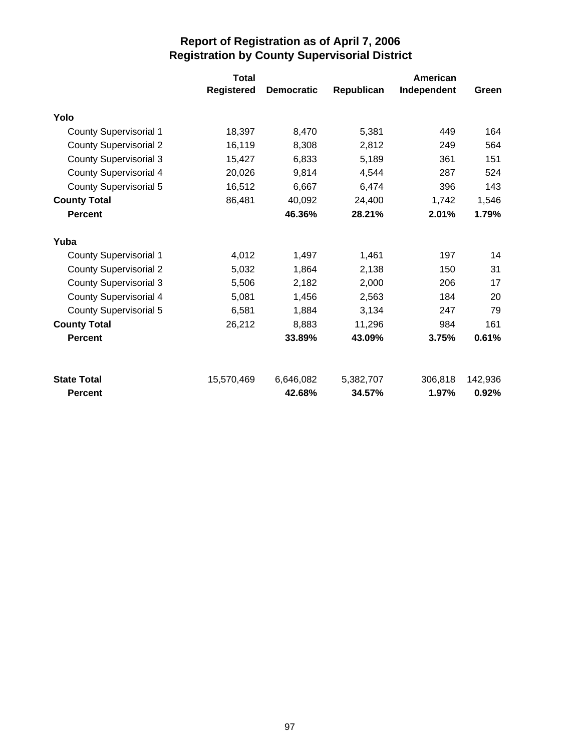|                               | <b>Total</b> |                   |            | <b>American</b> |         |
|-------------------------------|--------------|-------------------|------------|-----------------|---------|
|                               | Registered   | <b>Democratic</b> | Republican | Independent     | Green   |
| Yolo                          |              |                   |            |                 |         |
| <b>County Supervisorial 1</b> | 18,397       | 8,470             | 5,381      | 449             | 164     |
| <b>County Supervisorial 2</b> | 16,119       | 8,308             | 2,812      | 249             | 564     |
| <b>County Supervisorial 3</b> | 15,427       | 6,833             | 5,189      | 361             | 151     |
| <b>County Supervisorial 4</b> | 20,026       | 9,814             | 4,544      | 287             | 524     |
| County Supervisorial 5        | 16,512       | 6,667             | 6,474      | 396             | 143     |
| <b>County Total</b>           | 86,481       | 40,092            | 24,400     | 1,742           | 1,546   |
| <b>Percent</b>                |              | 46.36%            | 28.21%     | 2.01%           | 1.79%   |
| Yuba                          |              |                   |            |                 |         |
| <b>County Supervisorial 1</b> | 4,012        | 1,497             | 1,461      | 197             | 14      |
| <b>County Supervisorial 2</b> | 5,032        | 1,864             | 2,138      | 150             | 31      |
| <b>County Supervisorial 3</b> | 5,506        | 2,182             | 2,000      | 206             | 17      |
| <b>County Supervisorial 4</b> | 5,081        | 1,456             | 2,563      | 184             | 20      |
| County Supervisorial 5        | 6,581        | 1,884             | 3,134      | 247             | 79      |
| <b>County Total</b>           | 26,212       | 8,883             | 11,296     | 984             | 161     |
| <b>Percent</b>                |              | 33.89%            | 43.09%     | 3.75%           | 0.61%   |
| <b>State Total</b>            | 15,570,469   | 6,646,082         | 5,382,707  | 306,818         | 142,936 |
| Percent                       |              | 42.68%            | 34.57%     | 1.97%           | 0.92%   |